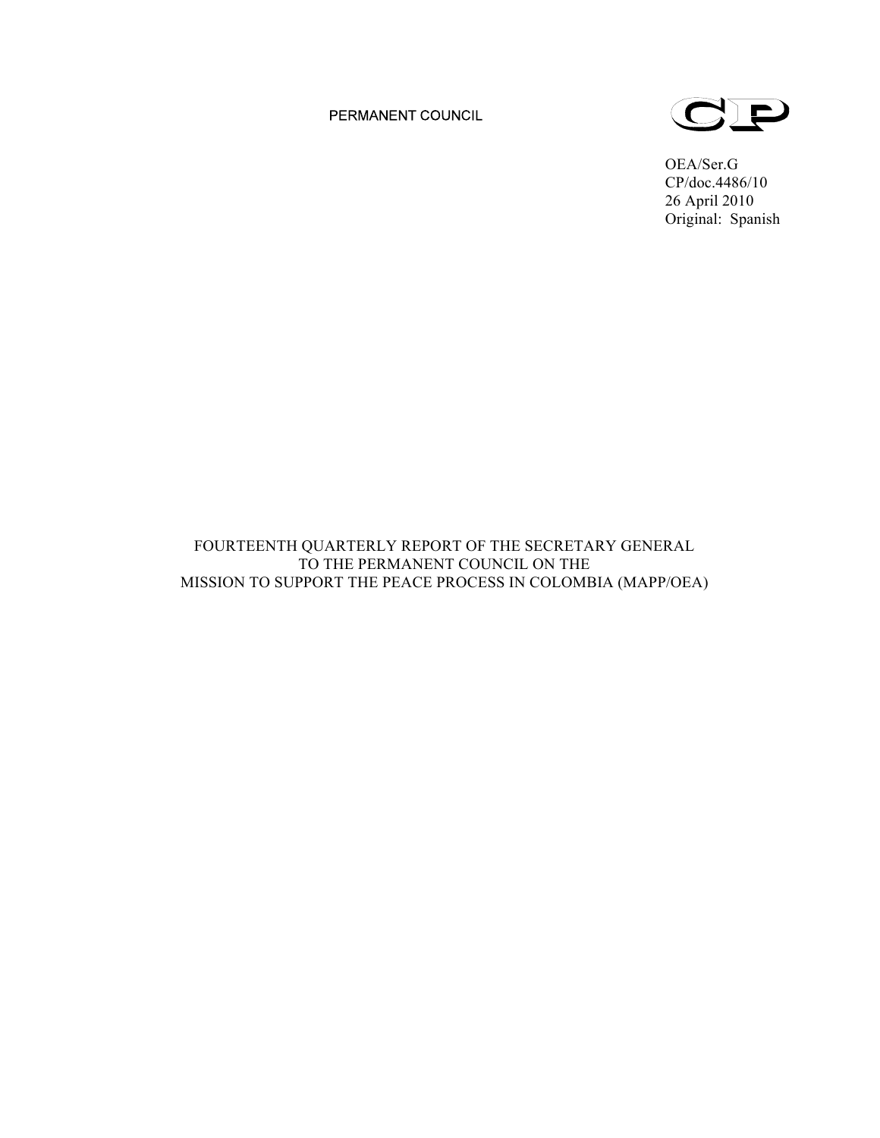PERMANENT COUNCIL



OEA/Ser.G CP/doc.4486/10 26 April 2010 Original: Spanish

# FOURTEENTH QUARTERLY REPORT OF THE SECRETARY GENERAL TO THE PERMANENT COUNCIL ON THE MISSION TO SUPPORT THE PEACE PROCESS IN COLOMBIA (MAPP/OEA)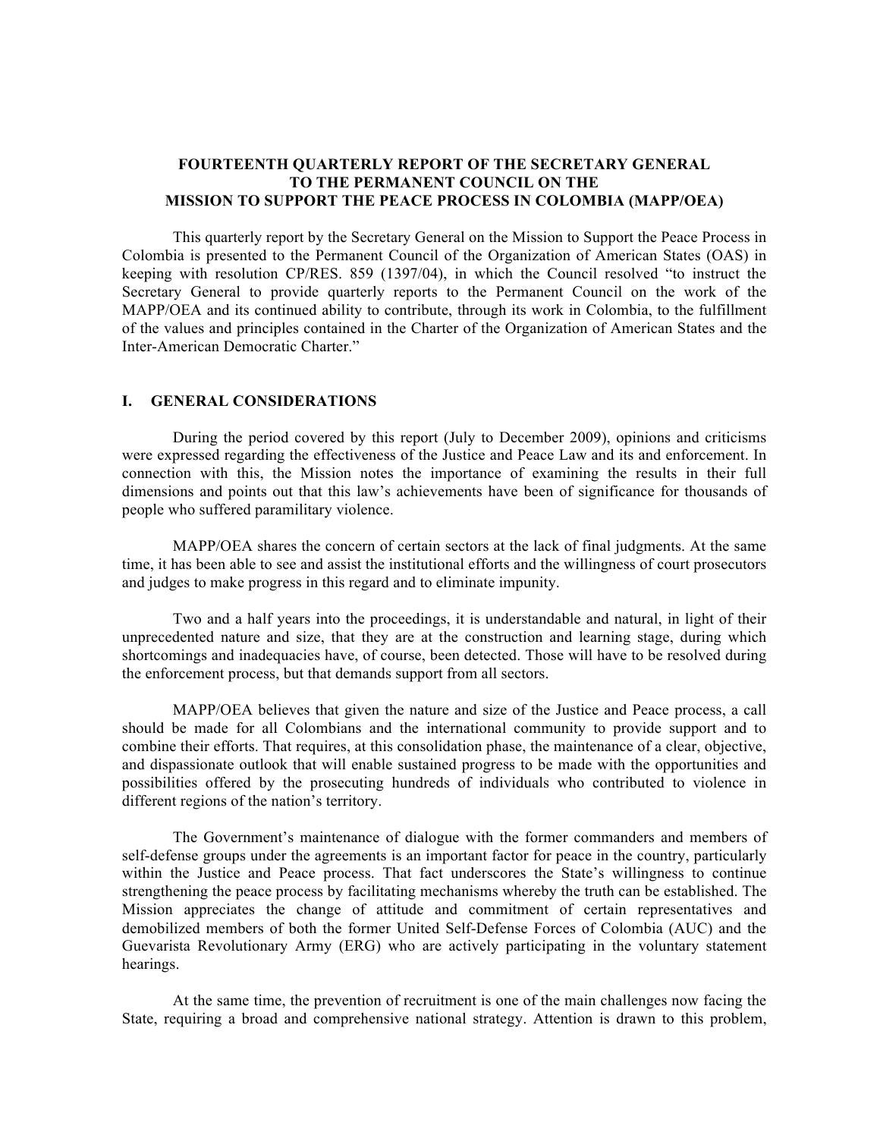## **FOURTEENTH QUARTERLY REPORT OF THE SECRETARY GENERAL TO THE PERMANENT COUNCIL ON THE MISSION TO SUPPORT THE PEACE PROCESS IN COLOMBIA (MAPP/OEA)**

This quarterly report by the Secretary General on the Mission to Support the Peace Process in Colombia is presented to the Permanent Council of the Organization of American States (OAS) in keeping with resolution CP/RES. 859 (1397/04), in which the Council resolved "to instruct the Secretary General to provide quarterly reports to the Permanent Council on the work of the MAPP/OEA and its continued ability to contribute, through its work in Colombia, to the fulfillment of the values and principles contained in the Charter of the Organization of American States and the Inter-American Democratic Charter."

## **I. GENERAL CONSIDERATIONS**

During the period covered by this report (July to December 2009), opinions and criticisms were expressed regarding the effectiveness of the Justice and Peace Law and its and enforcement. In connection with this, the Mission notes the importance of examining the results in their full dimensions and points out that this law's achievements have been of significance for thousands of people who suffered paramilitary violence.

MAPP/OEA shares the concern of certain sectors at the lack of final judgments. At the same time, it has been able to see and assist the institutional efforts and the willingness of court prosecutors and judges to make progress in this regard and to eliminate impunity.

Two and a half years into the proceedings, it is understandable and natural, in light of their unprecedented nature and size, that they are at the construction and learning stage, during which shortcomings and inadequacies have, of course, been detected. Those will have to be resolved during the enforcement process, but that demands support from all sectors.

MAPP/OEA believes that given the nature and size of the Justice and Peace process, a call should be made for all Colombians and the international community to provide support and to combine their efforts. That requires, at this consolidation phase, the maintenance of a clear, objective, and dispassionate outlook that will enable sustained progress to be made with the opportunities and possibilities offered by the prosecuting hundreds of individuals who contributed to violence in different regions of the nation's territory.

The Government's maintenance of dialogue with the former commanders and members of self-defense groups under the agreements is an important factor for peace in the country, particularly within the Justice and Peace process. That fact underscores the State's willingness to continue strengthening the peace process by facilitating mechanisms whereby the truth can be established. The Mission appreciates the change of attitude and commitment of certain representatives and demobilized members of both the former United Self-Defense Forces of Colombia (AUC) and the Guevarista Revolutionary Army (ERG) who are actively participating in the voluntary statement hearings.

At the same time, the prevention of recruitment is one of the main challenges now facing the State, requiring a broad and comprehensive national strategy. Attention is drawn to this problem,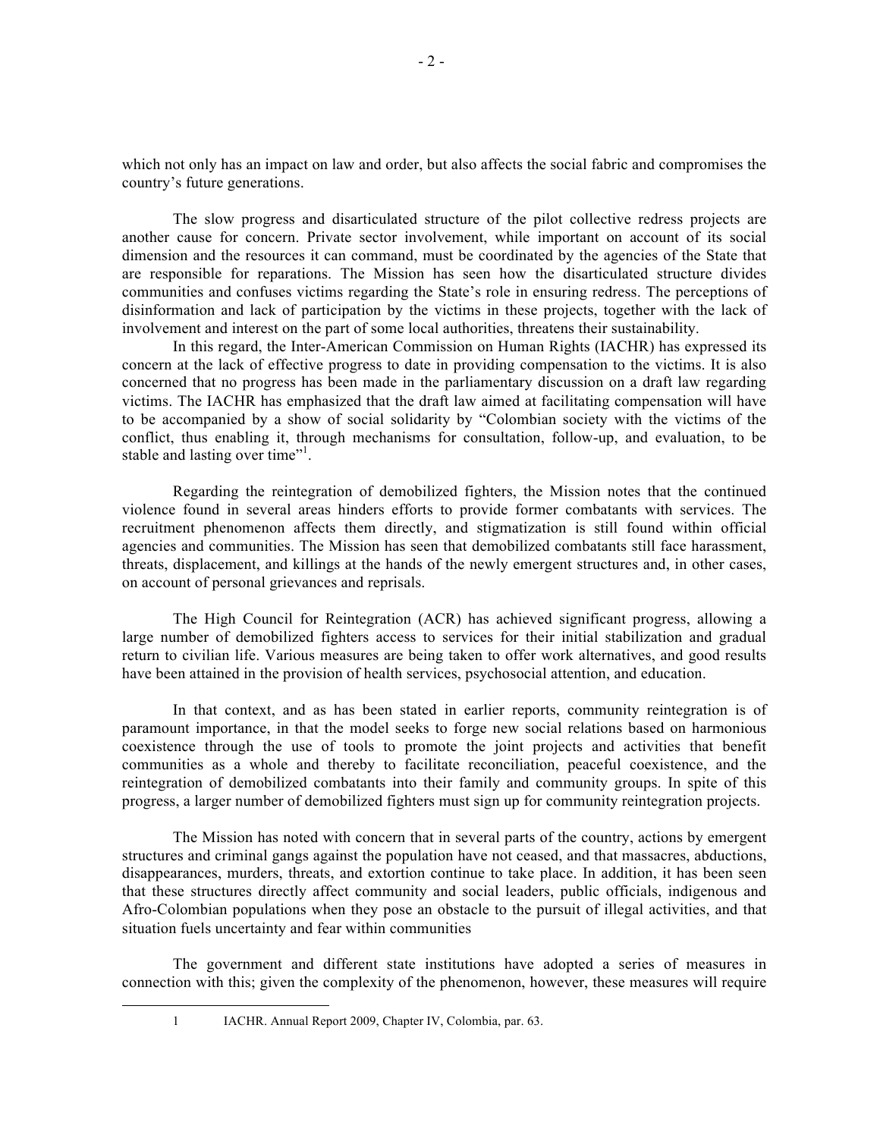which not only has an impact on law and order, but also affects the social fabric and compromises the country's future generations.

The slow progress and disarticulated structure of the pilot collective redress projects are another cause for concern. Private sector involvement, while important on account of its social dimension and the resources it can command, must be coordinated by the agencies of the State that are responsible for reparations. The Mission has seen how the disarticulated structure divides communities and confuses victims regarding the State's role in ensuring redress. The perceptions of disinformation and lack of participation by the victims in these projects, together with the lack of involvement and interest on the part of some local authorities, threatens their sustainability.

In this regard, the Inter-American Commission on Human Rights (IACHR) has expressed its concern at the lack of effective progress to date in providing compensation to the victims. It is also concerned that no progress has been made in the parliamentary discussion on a draft law regarding victims. The IACHR has emphasized that the draft law aimed at facilitating compensation will have to be accompanied by a show of social solidarity by "Colombian society with the victims of the conflict, thus enabling it, through mechanisms for consultation, follow-up, and evaluation, to be stable and lasting over time"<sup>1</sup>.

Regarding the reintegration of demobilized fighters, the Mission notes that the continued violence found in several areas hinders efforts to provide former combatants with services. The recruitment phenomenon affects them directly, and stigmatization is still found within official agencies and communities. The Mission has seen that demobilized combatants still face harassment, threats, displacement, and killings at the hands of the newly emergent structures and, in other cases, on account of personal grievances and reprisals.

The High Council for Reintegration (ACR) has achieved significant progress, allowing a large number of demobilized fighters access to services for their initial stabilization and gradual return to civilian life. Various measures are being taken to offer work alternatives, and good results have been attained in the provision of health services, psychosocial attention, and education.

In that context, and as has been stated in earlier reports, community reintegration is of paramount importance, in that the model seeks to forge new social relations based on harmonious coexistence through the use of tools to promote the joint projects and activities that benefit communities as a whole and thereby to facilitate reconciliation, peaceful coexistence, and the reintegration of demobilized combatants into their family and community groups. In spite of this progress, a larger number of demobilized fighters must sign up for community reintegration projects.

The Mission has noted with concern that in several parts of the country, actions by emergent structures and criminal gangs against the population have not ceased, and that massacres, abductions, disappearances, murders, threats, and extortion continue to take place. In addition, it has been seen that these structures directly affect community and social leaders, public officials, indigenous and Afro-Colombian populations when they pose an obstacle to the pursuit of illegal activities, and that situation fuels uncertainty and fear within communities

The government and different state institutions have adopted a series of measures in connection with this; given the complexity of the phenomenon, however, these measures will require

 <sup>1</sup> IACHR. Annual Report 2009, Chapter IV, Colombia, par. 63.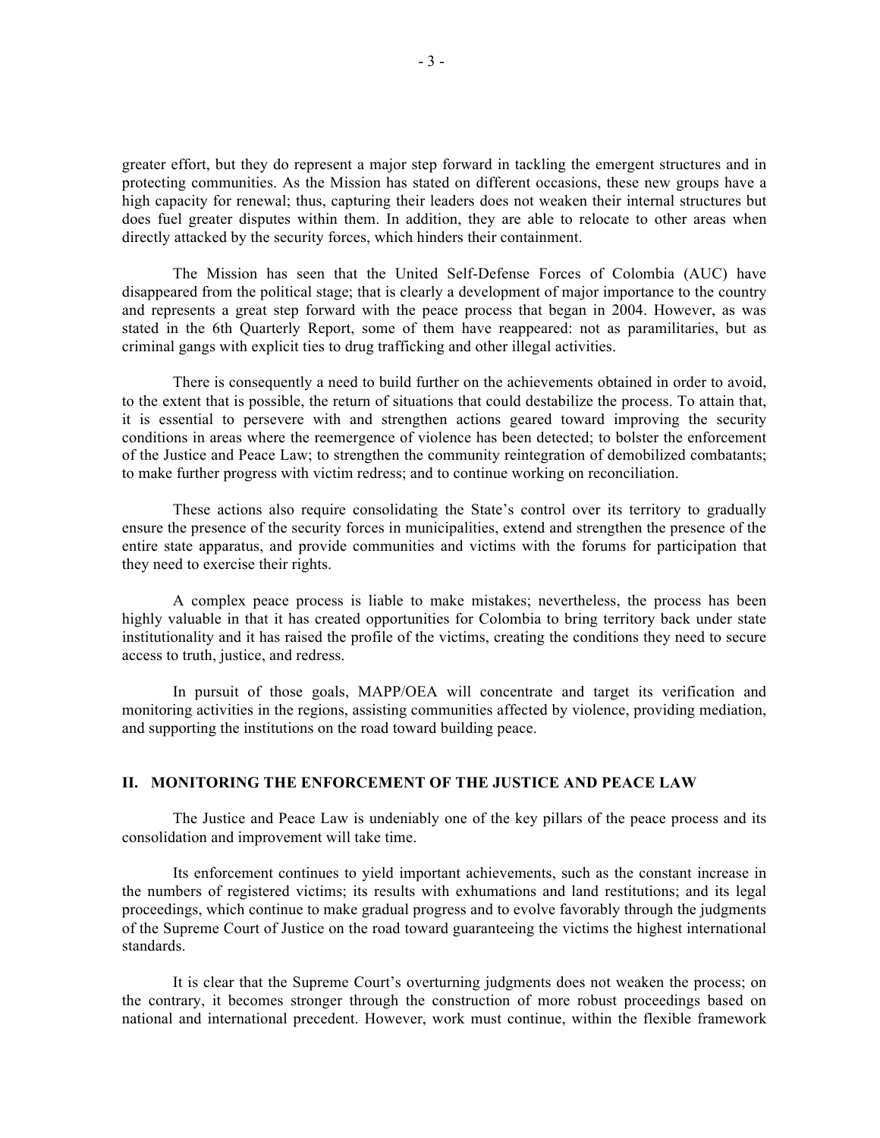greater effort, but they do represent a major step forward in tackling the emergent structures and in protecting communities. As the Mission has stated on different occasions, these new groups have a high capacity for renewal; thus, capturing their leaders does not weaken their internal structures but does fuel greater disputes within them. In addition, they are able to relocate to other areas when directly attacked by the security forces, which hinders their containment.

The Mission has seen that the United Self-Defense Forces of Colombia (AUC) have disappeared from the political stage; that is clearly a development of major importance to the country and represents a great step forward with the peace process that began in 2004. However, as was stated in the 6th Quarterly Report, some of them have reappeared: not as paramilitaries, but as criminal gangs with explicit ties to drug trafficking and other illegal activities.

There is consequently a need to build further on the achievements obtained in order to avoid, to the extent that is possible, the return of situations that could destabilize the process. To attain that, it is essential to persevere with and strengthen actions geared toward improving the security conditions in areas where the reemergence of violence has been detected; to bolster the enforcement of the Justice and Peace Law; to strengthen the community reintegration of demobilized combatants; to make further progress with victim redress; and to continue working on reconciliation.

These actions also require consolidating the State's control over its territory to gradually ensure the presence of the security forces in municipalities, extend and strengthen the presence of the entire state apparatus, and provide communities and victims with the forums for participation that they need to exercise their rights.

A complex peace process is liable to make mistakes; nevertheless, the process has been highly valuable in that it has created opportunities for Colombia to bring territory back under state institutionality and it has raised the profile of the victims, creating the conditions they need to secure access to truth, justice, and redress.

In pursuit of those goals, MAPP/OEA will concentrate and target its verification and monitoring activities in the regions, assisting communities affected by violence, providing mediation, and supporting the institutions on the road toward building peace.

## **II. MONITORING THE ENFORCEMENT OF THE JUSTICE AND PEACE LAW**

The Justice and Peace Law is undeniably one of the key pillars of the peace process and its consolidation and improvement will take time.

Its enforcement continues to yield important achievements, such as the constant increase in the numbers of registered victims; its results with exhumations and land restitutions; and its legal proceedings, which continue to make gradual progress and to evolve favorably through the judgments of the Supreme Court of Justice on the road toward guaranteeing the victims the highest international standards.

It is clear that the Supreme Court's overturning judgments does not weaken the process; on the contrary, it becomes stronger through the construction of more robust proceedings based on national and international precedent. However, work must continue, within the flexible framework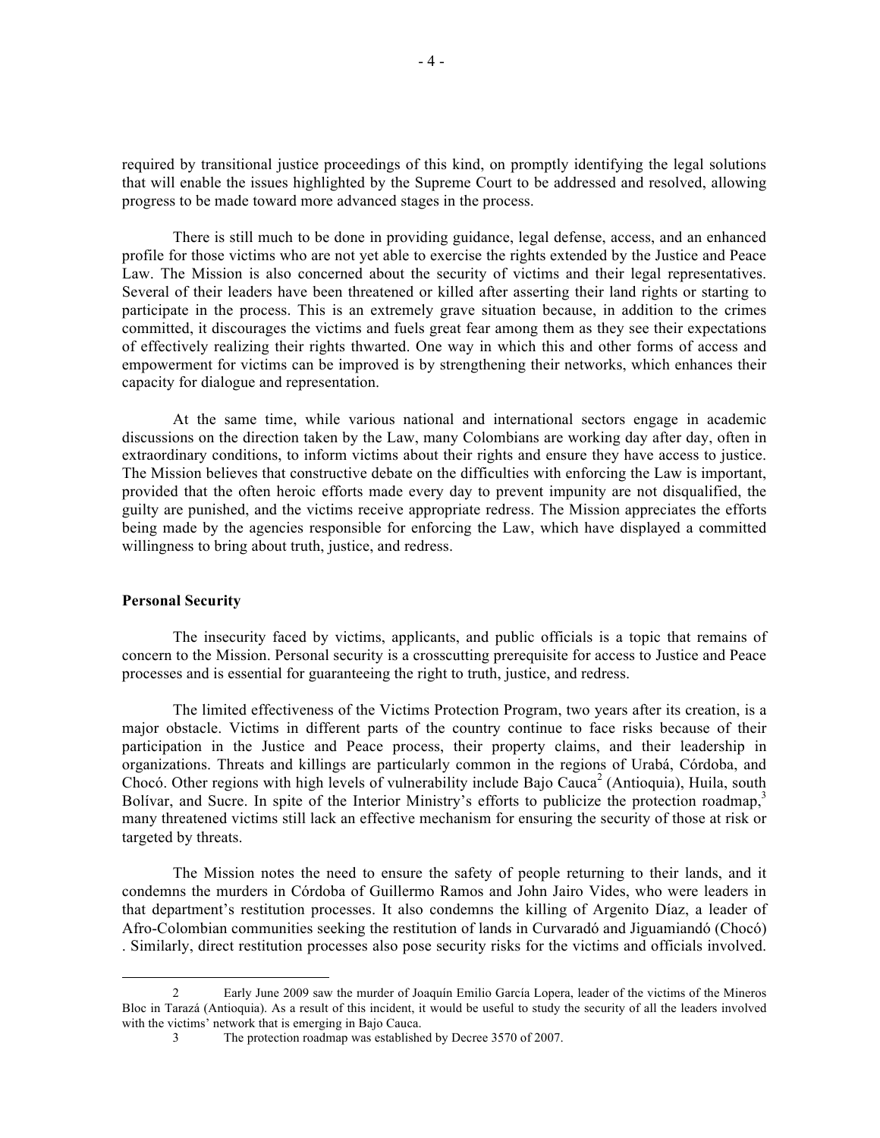required by transitional justice proceedings of this kind, on promptly identifying the legal solutions that will enable the issues highlighted by the Supreme Court to be addressed and resolved, allowing progress to be made toward more advanced stages in the process.

There is still much to be done in providing guidance, legal defense, access, and an enhanced profile for those victims who are not yet able to exercise the rights extended by the Justice and Peace Law. The Mission is also concerned about the security of victims and their legal representatives. Several of their leaders have been threatened or killed after asserting their land rights or starting to participate in the process. This is an extremely grave situation because, in addition to the crimes committed, it discourages the victims and fuels great fear among them as they see their expectations of effectively realizing their rights thwarted. One way in which this and other forms of access and empowerment for victims can be improved is by strengthening their networks, which enhances their capacity for dialogue and representation.

At the same time, while various national and international sectors engage in academic discussions on the direction taken by the Law, many Colombians are working day after day, often in extraordinary conditions, to inform victims about their rights and ensure they have access to justice. The Mission believes that constructive debate on the difficulties with enforcing the Law is important, provided that the often heroic efforts made every day to prevent impunity are not disqualified, the guilty are punished, and the victims receive appropriate redress. The Mission appreciates the efforts being made by the agencies responsible for enforcing the Law, which have displayed a committed willingness to bring about truth, justice, and redress.

#### **Personal Security**

The insecurity faced by victims, applicants, and public officials is a topic that remains of concern to the Mission. Personal security is a crosscutting prerequisite for access to Justice and Peace processes and is essential for guaranteeing the right to truth, justice, and redress.

The limited effectiveness of the Victims Protection Program, two years after its creation, is a major obstacle. Victims in different parts of the country continue to face risks because of their participation in the Justice and Peace process, their property claims, and their leadership in organizations. Threats and killings are particularly common in the regions of Urabá, Córdoba, and Chocó. Other regions with high levels of vulnerability include Bajo Cauca<sup>2</sup> (Antioquia), Huila, south Bolívar, and Sucre. In spite of the Interior Ministry's efforts to publicize the protection roadmap.<sup>3</sup> many threatened victims still lack an effective mechanism for ensuring the security of those at risk or targeted by threats.

The Mission notes the need to ensure the safety of people returning to their lands, and it condemns the murders in Córdoba of Guillermo Ramos and John Jairo Vides, who were leaders in that department's restitution processes. It also condemns the killing of Argenito Díaz, a leader of Afro-Colombian communities seeking the restitution of lands in Curvaradó and Jiguamiandó (Chocó) . Similarly, direct restitution processes also pose security risks for the victims and officials involved.

 <sup>2</sup> Early June 2009 saw the murder of Joaquín Emilio García Lopera, leader of the victims of the Mineros Bloc in Tarazá (Antioquia). As a result of this incident, it would be useful to study the security of all the leaders involved with the victims' network that is emerging in Bajo Cauca.

<sup>3</sup> The protection roadmap was established by Decree 3570 of 2007.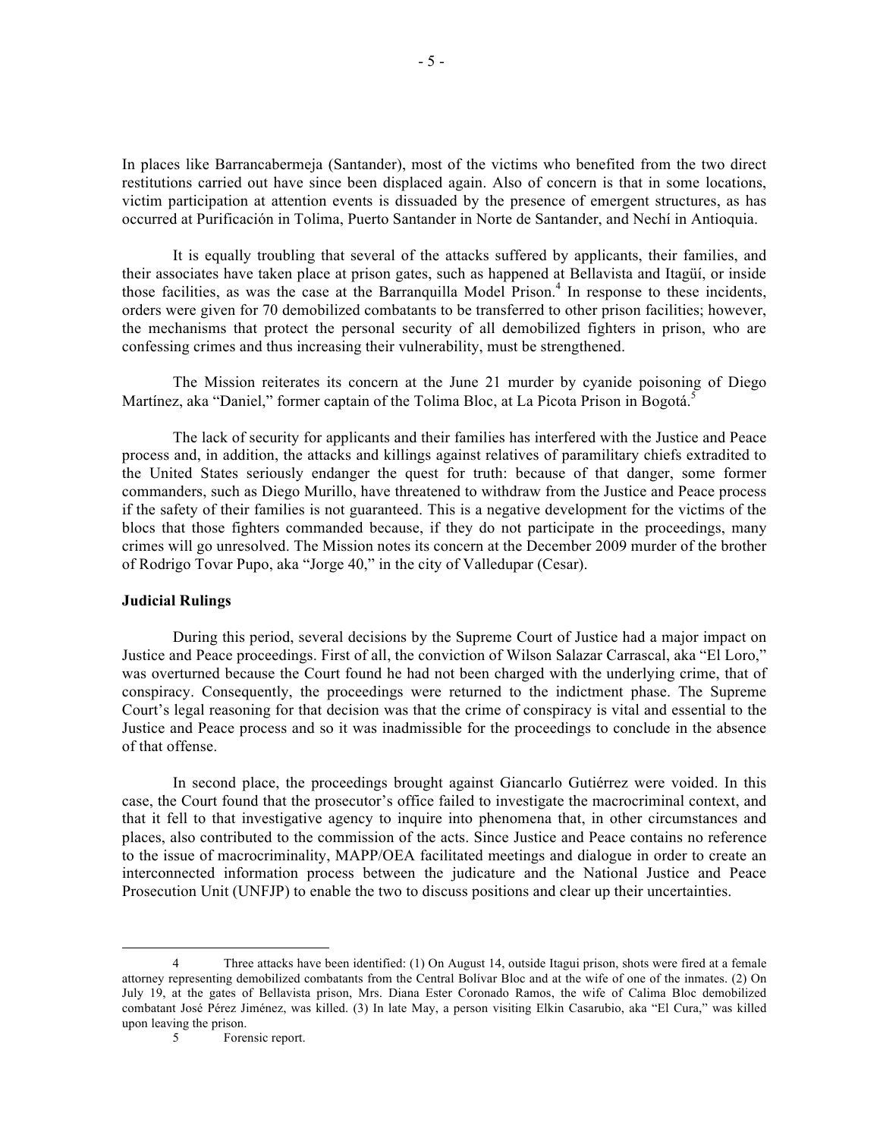In places like Barrancabermeja (Santander), most of the victims who benefited from the two direct restitutions carried out have since been displaced again. Also of concern is that in some locations, victim participation at attention events is dissuaded by the presence of emergent structures, as has occurred at Purificación in Tolima, Puerto Santander in Norte de Santander, and Nechí in Antioquia.

It is equally troubling that several of the attacks suffered by applicants, their families, and their associates have taken place at prison gates, such as happened at Bellavista and Itagüí, or inside those facilities, as was the case at the Barranquilla Model Prison.<sup>4</sup> In response to these incidents, orders were given for 70 demobilized combatants to be transferred to other prison facilities; however, the mechanisms that protect the personal security of all demobilized fighters in prison, who are confessing crimes and thus increasing their vulnerability, must be strengthened.

The Mission reiterates its concern at the June 21 murder by cyanide poisoning of Diego Martínez, aka "Daniel," former captain of the Tolima Bloc, at La Picota Prison in Bogotá.<sup>5</sup>

The lack of security for applicants and their families has interfered with the Justice and Peace process and, in addition, the attacks and killings against relatives of paramilitary chiefs extradited to the United States seriously endanger the quest for truth: because of that danger, some former commanders, such as Diego Murillo, have threatened to withdraw from the Justice and Peace process if the safety of their families is not guaranteed. This is a negative development for the victims of the blocs that those fighters commanded because, if they do not participate in the proceedings, many crimes will go unresolved. The Mission notes its concern at the December 2009 murder of the brother of Rodrigo Tovar Pupo, aka "Jorge 40," in the city of Valledupar (Cesar).

### **Judicial Rulings**

During this period, several decisions by the Supreme Court of Justice had a major impact on Justice and Peace proceedings. First of all, the conviction of Wilson Salazar Carrascal, aka "El Loro," was overturned because the Court found he had not been charged with the underlying crime, that of conspiracy. Consequently, the proceedings were returned to the indictment phase. The Supreme Court's legal reasoning for that decision was that the crime of conspiracy is vital and essential to the Justice and Peace process and so it was inadmissible for the proceedings to conclude in the absence of that offense.

In second place, the proceedings brought against Giancarlo Gutiérrez were voided. In this case, the Court found that the prosecutor's office failed to investigate the macrocriminal context, and that it fell to that investigative agency to inquire into phenomena that, in other circumstances and places, also contributed to the commission of the acts. Since Justice and Peace contains no reference to the issue of macrocriminality, MAPP/OEA facilitated meetings and dialogue in order to create an interconnected information process between the judicature and the National Justice and Peace Prosecution Unit (UNFJP) to enable the two to discuss positions and clear up their uncertainties.

 <sup>4</sup> Three attacks have been identified: (1) On August 14, outside Itagui prison, shots were fired at a female attorney representing demobilized combatants from the Central Bolívar Bloc and at the wife of one of the inmates. (2) On July 19, at the gates of Bellavista prison, Mrs. Diana Ester Coronado Ramos, the wife of Calima Bloc demobilized combatant José Pérez Jiménez, was killed. (3) In late May, a person visiting Elkin Casarubio, aka "El Cura," was killed upon leaving the prison.

<sup>5</sup> Forensic report.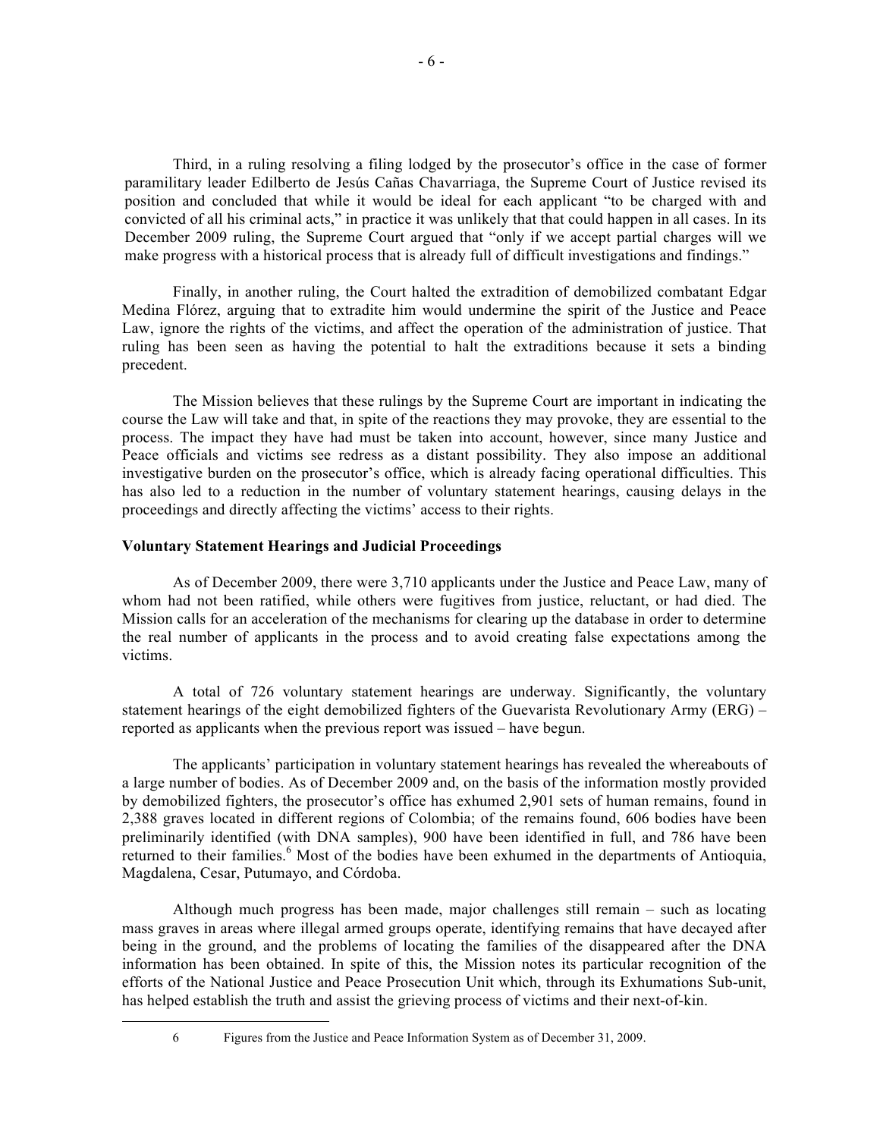Third, in a ruling resolving a filing lodged by the prosecutor's office in the case of former paramilitary leader Edilberto de Jesús Cañas Chavarriaga, the Supreme Court of Justice revised its position and concluded that while it would be ideal for each applicant "to be charged with and convicted of all his criminal acts," in practice it was unlikely that that could happen in all cases. In its December 2009 ruling, the Supreme Court argued that "only if we accept partial charges will we make progress with a historical process that is already full of difficult investigations and findings."

Finally, in another ruling, the Court halted the extradition of demobilized combatant Edgar Medina Flórez, arguing that to extradite him would undermine the spirit of the Justice and Peace Law, ignore the rights of the victims, and affect the operation of the administration of justice. That ruling has been seen as having the potential to halt the extraditions because it sets a binding precedent.

The Mission believes that these rulings by the Supreme Court are important in indicating the course the Law will take and that, in spite of the reactions they may provoke, they are essential to the process. The impact they have had must be taken into account, however, since many Justice and Peace officials and victims see redress as a distant possibility. They also impose an additional investigative burden on the prosecutor's office, which is already facing operational difficulties. This has also led to a reduction in the number of voluntary statement hearings, causing delays in the proceedings and directly affecting the victims' access to their rights.

### **Voluntary Statement Hearings and Judicial Proceedings**

As of December 2009, there were 3,710 applicants under the Justice and Peace Law, many of whom had not been ratified, while others were fugitives from justice, reluctant, or had died. The Mission calls for an acceleration of the mechanisms for clearing up the database in order to determine the real number of applicants in the process and to avoid creating false expectations among the victims.

A total of 726 voluntary statement hearings are underway. Significantly, the voluntary statement hearings of the eight demobilized fighters of the Guevarista Revolutionary Army (ERG) – reported as applicants when the previous report was issued – have begun.

The applicants' participation in voluntary statement hearings has revealed the whereabouts of a large number of bodies. As of December 2009 and, on the basis of the information mostly provided by demobilized fighters, the prosecutor's office has exhumed 2,901 sets of human remains, found in 2,388 graves located in different regions of Colombia; of the remains found, 606 bodies have been preliminarily identified (with DNA samples), 900 have been identified in full, and 786 have been returned to their families.<sup>6</sup> Most of the bodies have been exhumed in the departments of Antioquia, Magdalena, Cesar, Putumayo, and Córdoba.

Although much progress has been made, major challenges still remain – such as locating mass graves in areas where illegal armed groups operate, identifying remains that have decayed after being in the ground, and the problems of locating the families of the disappeared after the DNA information has been obtained. In spite of this, the Mission notes its particular recognition of the efforts of the National Justice and Peace Prosecution Unit which, through its Exhumations Sub-unit, has helped establish the truth and assist the grieving process of victims and their next-of-kin.

 <sup>6</sup> Figures from the Justice and Peace Information System as of December 31, 2009.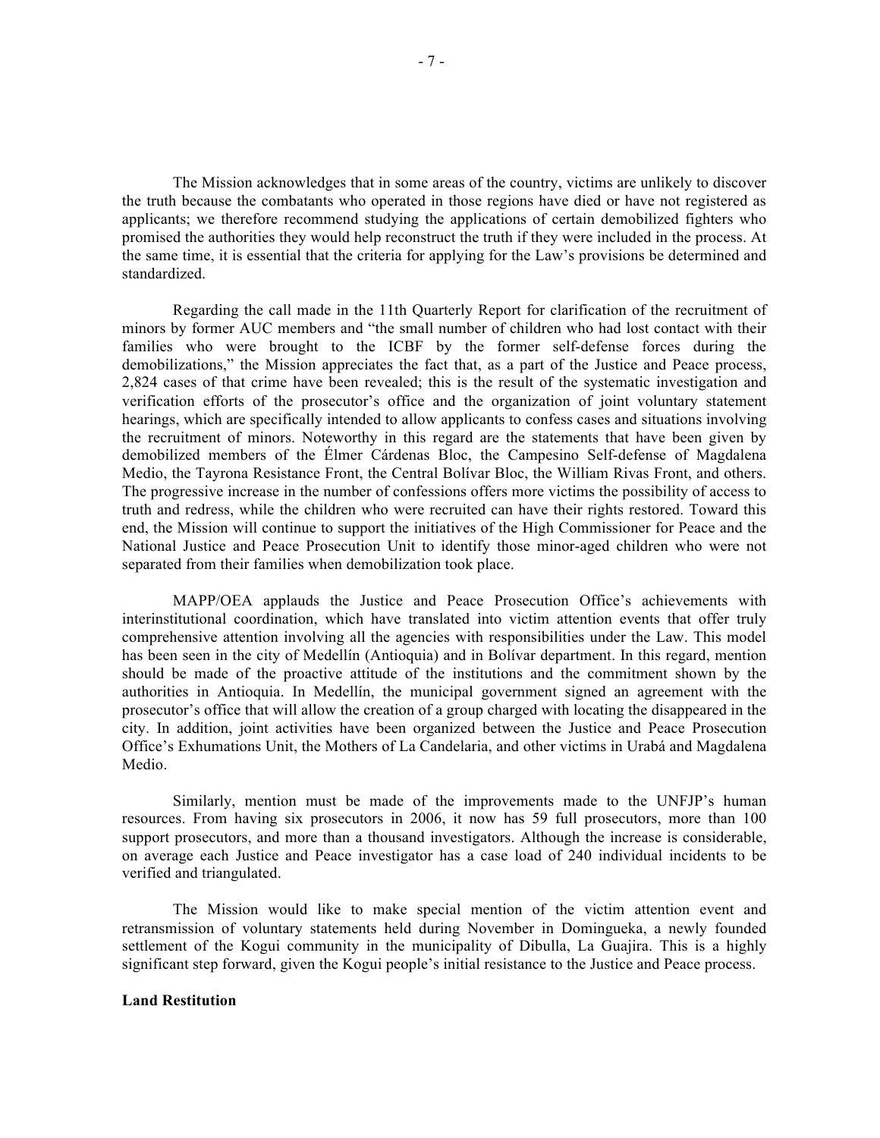The Mission acknowledges that in some areas of the country, victims are unlikely to discover the truth because the combatants who operated in those regions have died or have not registered as applicants; we therefore recommend studying the applications of certain demobilized fighters who promised the authorities they would help reconstruct the truth if they were included in the process. At the same time, it is essential that the criteria for applying for the Law's provisions be determined and standardized.

Regarding the call made in the 11th Quarterly Report for clarification of the recruitment of minors by former AUC members and "the small number of children who had lost contact with their families who were brought to the ICBF by the former self-defense forces during the demobilizations," the Mission appreciates the fact that, as a part of the Justice and Peace process, 2,824 cases of that crime have been revealed; this is the result of the systematic investigation and verification efforts of the prosecutor's office and the organization of joint voluntary statement hearings, which are specifically intended to allow applicants to confess cases and situations involving the recruitment of minors. Noteworthy in this regard are the statements that have been given by demobilized members of the Élmer Cárdenas Bloc, the Campesino Self-defense of Magdalena Medio, the Tayrona Resistance Front, the Central Bolívar Bloc, the William Rivas Front, and others. The progressive increase in the number of confessions offers more victims the possibility of access to truth and redress, while the children who were recruited can have their rights restored. Toward this end, the Mission will continue to support the initiatives of the High Commissioner for Peace and the National Justice and Peace Prosecution Unit to identify those minor-aged children who were not separated from their families when demobilization took place.

MAPP/OEA applauds the Justice and Peace Prosecution Office's achievements with interinstitutional coordination, which have translated into victim attention events that offer truly comprehensive attention involving all the agencies with responsibilities under the Law. This model has been seen in the city of Medellín (Antioquia) and in Bolívar department. In this regard, mention should be made of the proactive attitude of the institutions and the commitment shown by the authorities in Antioquia. In Medellín, the municipal government signed an agreement with the prosecutor's office that will allow the creation of a group charged with locating the disappeared in the city. In addition, joint activities have been organized between the Justice and Peace Prosecution Office's Exhumations Unit, the Mothers of La Candelaria, and other victims in Urabá and Magdalena Medio.

Similarly, mention must be made of the improvements made to the UNFJP's human resources. From having six prosecutors in 2006, it now has 59 full prosecutors, more than 100 support prosecutors, and more than a thousand investigators. Although the increase is considerable, on average each Justice and Peace investigator has a case load of 240 individual incidents to be verified and triangulated.

The Mission would like to make special mention of the victim attention event and retransmission of voluntary statements held during November in Domingueka, a newly founded settlement of the Kogui community in the municipality of Dibulla, La Guajira. This is a highly significant step forward, given the Kogui people's initial resistance to the Justice and Peace process.

### **Land Restitution**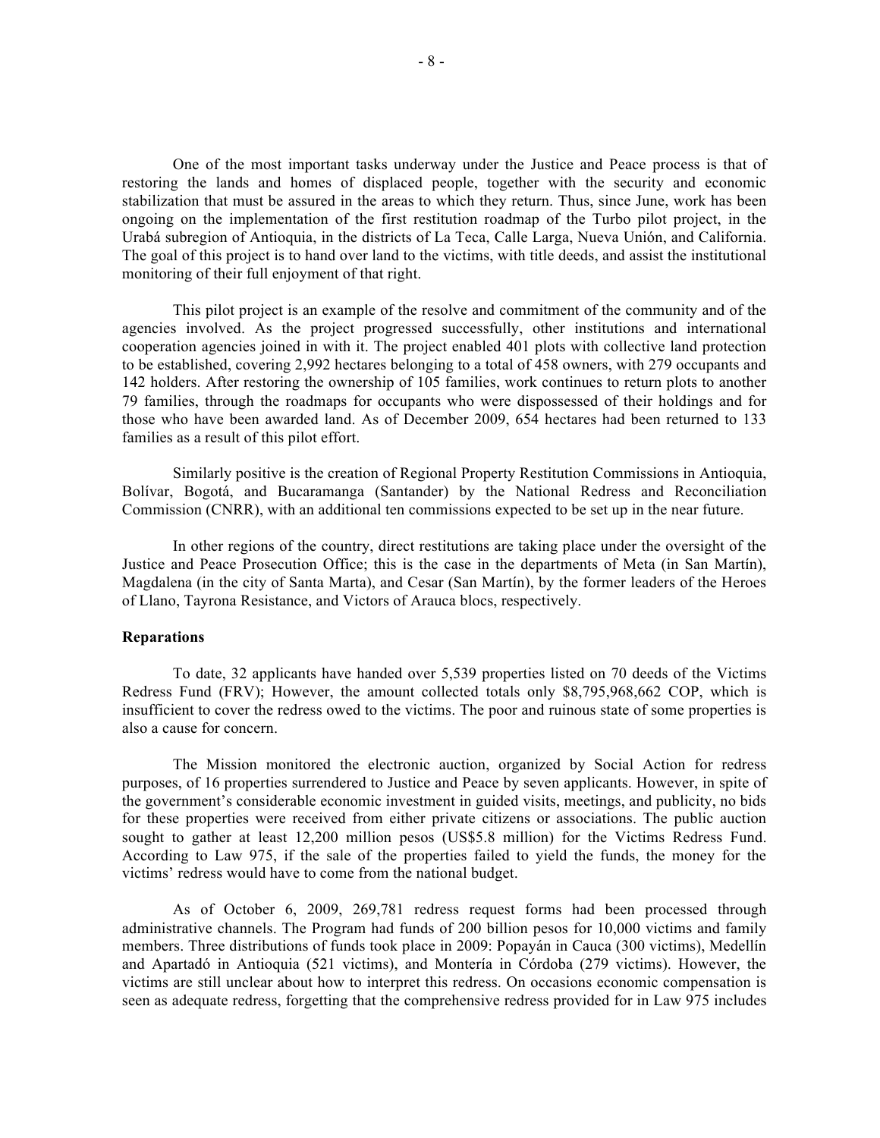One of the most important tasks underway under the Justice and Peace process is that of restoring the lands and homes of displaced people, together with the security and economic stabilization that must be assured in the areas to which they return. Thus, since June, work has been ongoing on the implementation of the first restitution roadmap of the Turbo pilot project, in the Urabá subregion of Antioquia, in the districts of La Teca, Calle Larga, Nueva Unión, and California. The goal of this project is to hand over land to the victims, with title deeds, and assist the institutional monitoring of their full enjoyment of that right.

This pilot project is an example of the resolve and commitment of the community and of the agencies involved. As the project progressed successfully, other institutions and international cooperation agencies joined in with it. The project enabled 401 plots with collective land protection to be established, covering 2,992 hectares belonging to a total of 458 owners, with 279 occupants and 142 holders. After restoring the ownership of 105 families, work continues to return plots to another 79 families, through the roadmaps for occupants who were dispossessed of their holdings and for those who have been awarded land. As of December 2009, 654 hectares had been returned to 133 families as a result of this pilot effort.

Similarly positive is the creation of Regional Property Restitution Commissions in Antioquia, Bolívar, Bogotá, and Bucaramanga (Santander) by the National Redress and Reconciliation Commission (CNRR), with an additional ten commissions expected to be set up in the near future.

In other regions of the country, direct restitutions are taking place under the oversight of the Justice and Peace Prosecution Office; this is the case in the departments of Meta (in San Martín), Magdalena (in the city of Santa Marta), and Cesar (San Martín), by the former leaders of the Heroes of Llano, Tayrona Resistance, and Victors of Arauca blocs, respectively.

#### **Reparations**

To date, 32 applicants have handed over 5,539 properties listed on 70 deeds of the Victims Redress Fund (FRV); However, the amount collected totals only \$8,795,968,662 COP, which is insufficient to cover the redress owed to the victims. The poor and ruinous state of some properties is also a cause for concern.

The Mission monitored the electronic auction, organized by Social Action for redress purposes, of 16 properties surrendered to Justice and Peace by seven applicants. However, in spite of the government's considerable economic investment in guided visits, meetings, and publicity, no bids for these properties were received from either private citizens or associations. The public auction sought to gather at least 12,200 million pesos (US\$5.8 million) for the Victims Redress Fund. According to Law 975, if the sale of the properties failed to yield the funds, the money for the victims' redress would have to come from the national budget.

As of October 6, 2009, 269,781 redress request forms had been processed through administrative channels. The Program had funds of 200 billion pesos for 10,000 victims and family members. Three distributions of funds took place in 2009: Popayán in Cauca (300 victims), Medellín and Apartadó in Antioquia (521 victims), and Montería in Córdoba (279 victims). However, the victims are still unclear about how to interpret this redress. On occasions economic compensation is seen as adequate redress, forgetting that the comprehensive redress provided for in Law 975 includes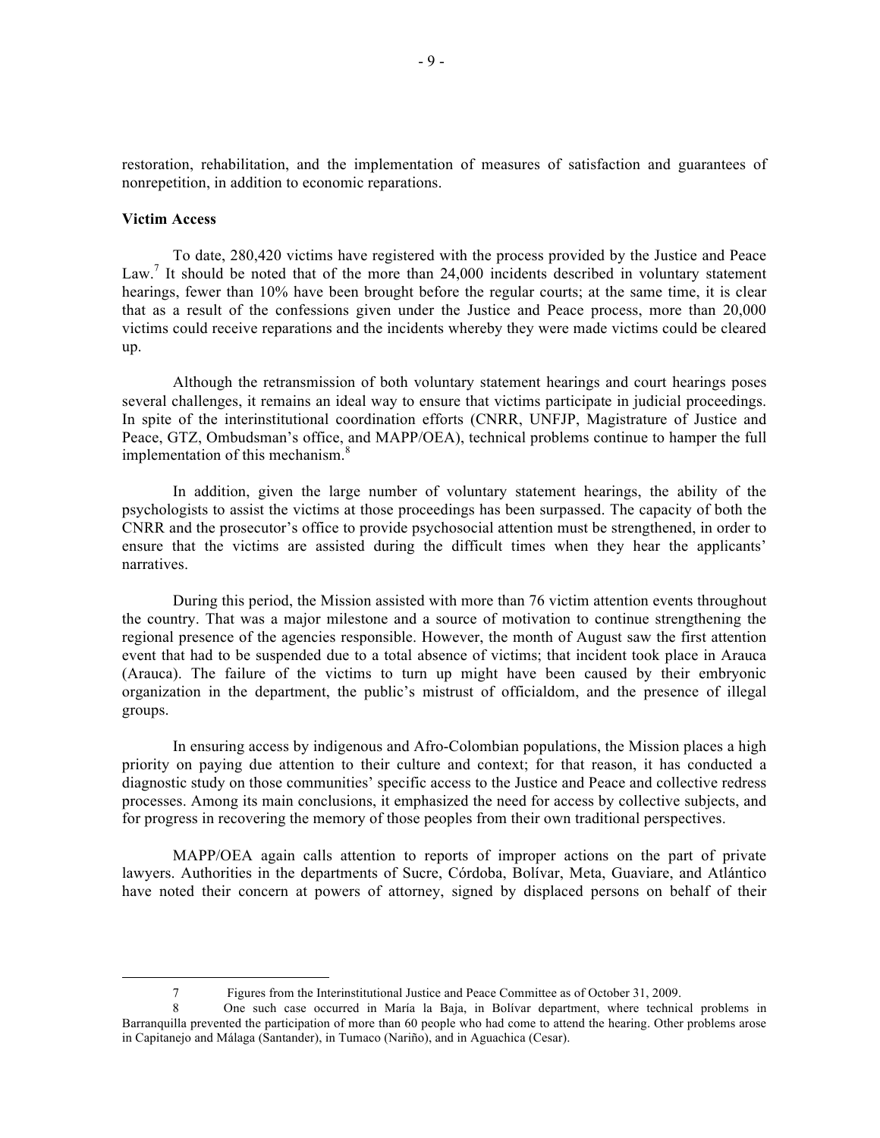restoration, rehabilitation, and the implementation of measures of satisfaction and guarantees of nonrepetition, in addition to economic reparations.

#### **Victim Access**

To date, 280,420 victims have registered with the process provided by the Justice and Peace Law.<sup>7</sup> It should be noted that of the more than 24,000 incidents described in voluntary statement hearings, fewer than 10% have been brought before the regular courts; at the same time, it is clear that as a result of the confessions given under the Justice and Peace process, more than 20,000 victims could receive reparations and the incidents whereby they were made victims could be cleared up.

Although the retransmission of both voluntary statement hearings and court hearings poses several challenges, it remains an ideal way to ensure that victims participate in judicial proceedings. In spite of the interinstitutional coordination efforts (CNRR, UNFJP, Magistrature of Justice and Peace, GTZ, Ombudsman's office, and MAPP/OEA), technical problems continue to hamper the full implementation of this mechanism.<sup>8</sup>

In addition, given the large number of voluntary statement hearings, the ability of the psychologists to assist the victims at those proceedings has been surpassed. The capacity of both the CNRR and the prosecutor's office to provide psychosocial attention must be strengthened, in order to ensure that the victims are assisted during the difficult times when they hear the applicants' narratives.

During this period, the Mission assisted with more than 76 victim attention events throughout the country. That was a major milestone and a source of motivation to continue strengthening the regional presence of the agencies responsible. However, the month of August saw the first attention event that had to be suspended due to a total absence of victims; that incident took place in Arauca (Arauca). The failure of the victims to turn up might have been caused by their embryonic organization in the department, the public's mistrust of officialdom, and the presence of illegal groups.

In ensuring access by indigenous and Afro-Colombian populations, the Mission places a high priority on paying due attention to their culture and context; for that reason, it has conducted a diagnostic study on those communities' specific access to the Justice and Peace and collective redress processes. Among its main conclusions, it emphasized the need for access by collective subjects, and for progress in recovering the memory of those peoples from their own traditional perspectives.

MAPP/OEA again calls attention to reports of improper actions on the part of private lawyers. Authorities in the departments of Sucre, Córdoba, Bolívar, Meta, Guaviare, and Atlántico have noted their concern at powers of attorney, signed by displaced persons on behalf of their

 <sup>7</sup> Figures from the Interinstitutional Justice and Peace Committee as of October 31, 2009.

<sup>8</sup> One such case occurred in María la Baja, in Bolívar department, where technical problems in Barranquilla prevented the participation of more than 60 people who had come to attend the hearing. Other problems arose in Capitanejo and Málaga (Santander), in Tumaco (Nariño), and in Aguachica (Cesar).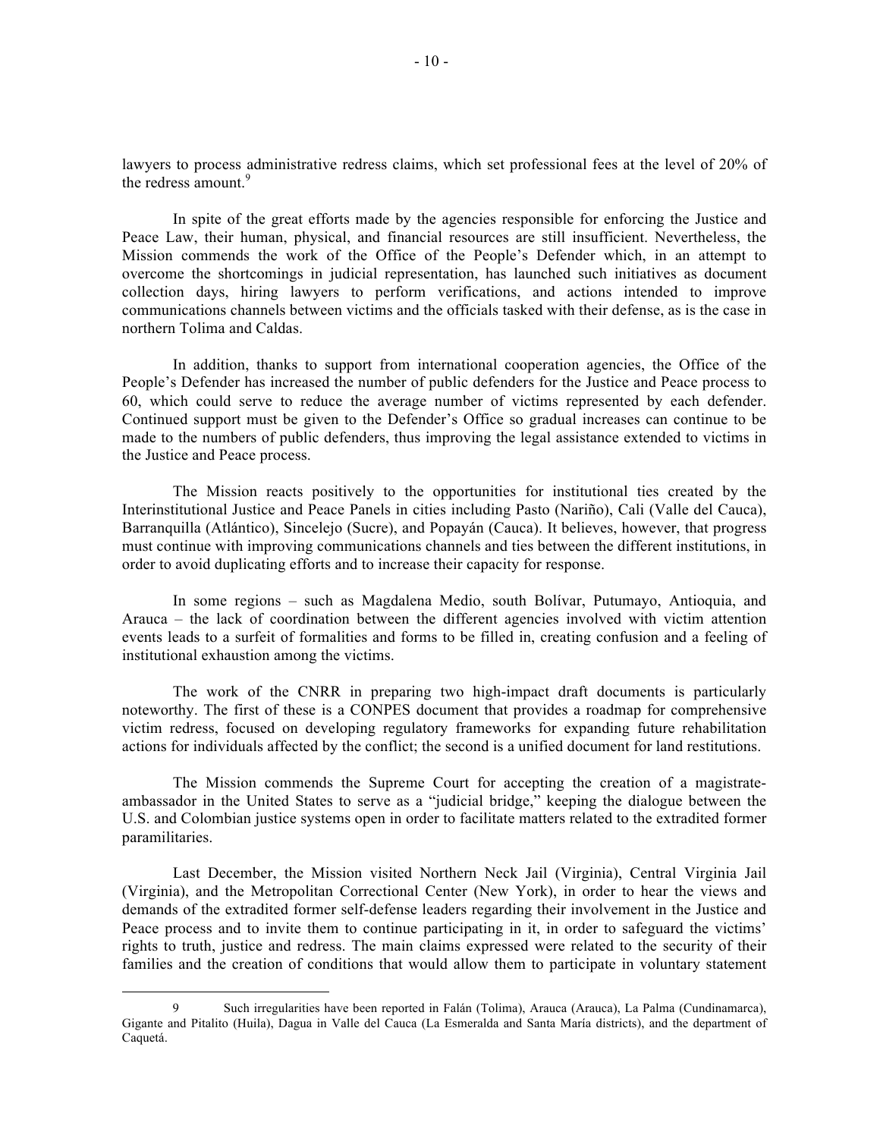lawyers to process administrative redress claims, which set professional fees at the level of 20% of the redress amount.<sup>9</sup>

In spite of the great efforts made by the agencies responsible for enforcing the Justice and Peace Law, their human, physical, and financial resources are still insufficient. Nevertheless, the Mission commends the work of the Office of the People's Defender which, in an attempt to overcome the shortcomings in judicial representation, has launched such initiatives as document collection days, hiring lawyers to perform verifications, and actions intended to improve communications channels between victims and the officials tasked with their defense, as is the case in northern Tolima and Caldas.

In addition, thanks to support from international cooperation agencies, the Office of the People's Defender has increased the number of public defenders for the Justice and Peace process to 60, which could serve to reduce the average number of victims represented by each defender. Continued support must be given to the Defender's Office so gradual increases can continue to be made to the numbers of public defenders, thus improving the legal assistance extended to victims in the Justice and Peace process.

The Mission reacts positively to the opportunities for institutional ties created by the Interinstitutional Justice and Peace Panels in cities including Pasto (Nariño), Cali (Valle del Cauca), Barranquilla (Atlántico), Sincelejo (Sucre), and Popayán (Cauca). It believes, however, that progress must continue with improving communications channels and ties between the different institutions, in order to avoid duplicating efforts and to increase their capacity for response.

In some regions – such as Magdalena Medio, south Bolívar, Putumayo, Antioquia, and Arauca – the lack of coordination between the different agencies involved with victim attention events leads to a surfeit of formalities and forms to be filled in, creating confusion and a feeling of institutional exhaustion among the victims.

The work of the CNRR in preparing two high-impact draft documents is particularly noteworthy. The first of these is a CONPES document that provides a roadmap for comprehensive victim redress, focused on developing regulatory frameworks for expanding future rehabilitation actions for individuals affected by the conflict; the second is a unified document for land restitutions.

The Mission commends the Supreme Court for accepting the creation of a magistrateambassador in the United States to serve as a "judicial bridge," keeping the dialogue between the U.S. and Colombian justice systems open in order to facilitate matters related to the extradited former paramilitaries.

Last December, the Mission visited Northern Neck Jail (Virginia), Central Virginia Jail (Virginia), and the Metropolitan Correctional Center (New York), in order to hear the views and demands of the extradited former self-defense leaders regarding their involvement in the Justice and Peace process and to invite them to continue participating in it, in order to safeguard the victims' rights to truth, justice and redress. The main claims expressed were related to the security of their families and the creation of conditions that would allow them to participate in voluntary statement

 <sup>9</sup> Such irregularities have been reported in Falán (Tolima), Arauca (Arauca), La Palma (Cundinamarca), Gigante and Pitalito (Huila), Dagua in Valle del Cauca (La Esmeralda and Santa María districts), and the department of Caquetá.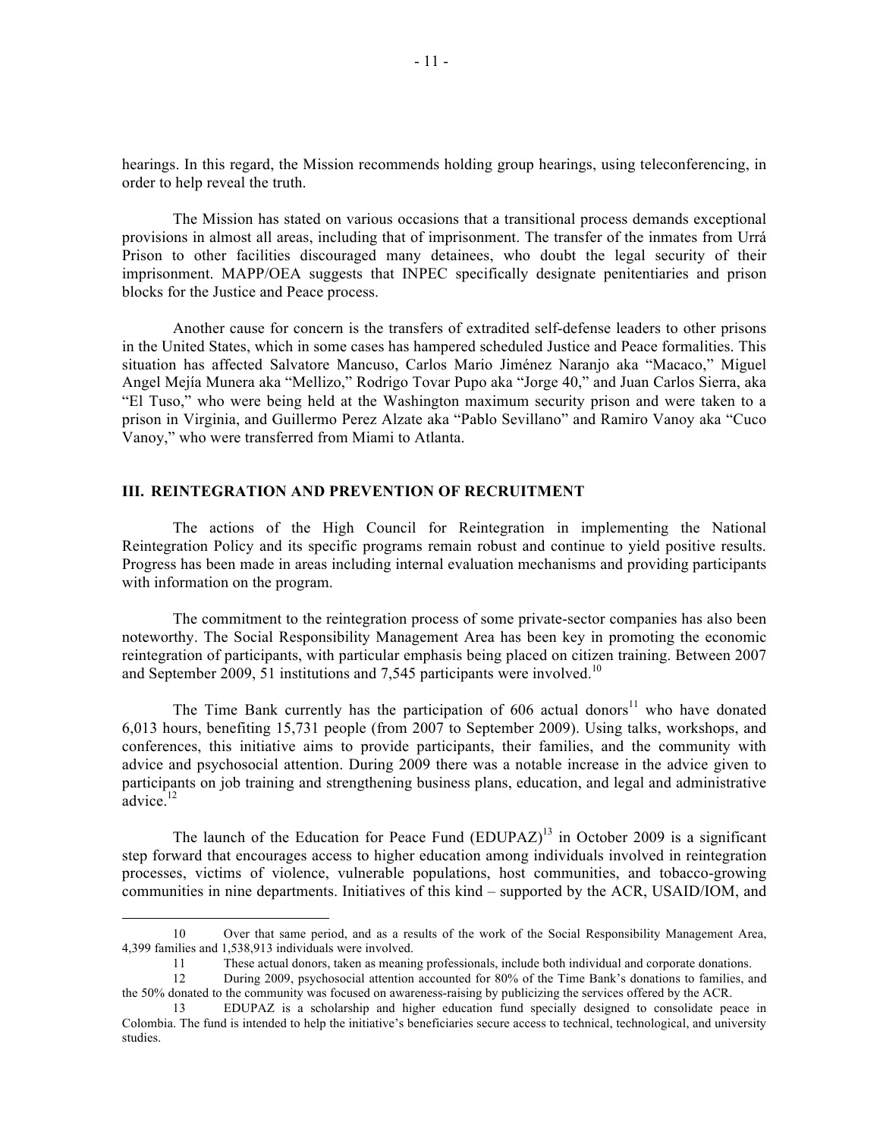hearings. In this regard, the Mission recommends holding group hearings, using teleconferencing, in order to help reveal the truth.

The Mission has stated on various occasions that a transitional process demands exceptional provisions in almost all areas, including that of imprisonment. The transfer of the inmates from Urrá Prison to other facilities discouraged many detainees, who doubt the legal security of their imprisonment. MAPP/OEA suggests that INPEC specifically designate penitentiaries and prison blocks for the Justice and Peace process.

Another cause for concern is the transfers of extradited self-defense leaders to other prisons in the United States, which in some cases has hampered scheduled Justice and Peace formalities. This situation has affected Salvatore Mancuso, Carlos Mario Jiménez Naranjo aka "Macaco," Miguel Angel Mejía Munera aka "Mellizo," Rodrigo Tovar Pupo aka "Jorge 40," and Juan Carlos Sierra, aka "El Tuso," who were being held at the Washington maximum security prison and were taken to a prison in Virginia, and Guillermo Perez Alzate aka "Pablo Sevillano" and Ramiro Vanoy aka "Cuco Vanoy," who were transferred from Miami to Atlanta.

## **III. REINTEGRATION AND PREVENTION OF RECRUITMENT**

The actions of the High Council for Reintegration in implementing the National Reintegration Policy and its specific programs remain robust and continue to yield positive results. Progress has been made in areas including internal evaluation mechanisms and providing participants with information on the program.

The commitment to the reintegration process of some private-sector companies has also been noteworthy. The Social Responsibility Management Area has been key in promoting the economic reintegration of participants, with particular emphasis being placed on citizen training. Between 2007 and September 2009, 51 institutions and 7,545 participants were involved.<sup>10</sup>

The Time Bank currently has the participation of  $606$  actual donors<sup>11</sup> who have donated 6,013 hours, benefiting 15,731 people (from 2007 to September 2009). Using talks, workshops, and conferences, this initiative aims to provide participants, their families, and the community with advice and psychosocial attention. During 2009 there was a notable increase in the advice given to participants on job training and strengthening business plans, education, and legal and administrative  $\alpha$ dvice.<sup>12</sup>

The launch of the Education for Peace Fund  $(EDUPAZ)^{13}$  in October 2009 is a significant step forward that encourages access to higher education among individuals involved in reintegration processes, victims of violence, vulnerable populations, host communities, and tobacco-growing communities in nine departments. Initiatives of this kind – supported by the ACR, USAID/IOM, and

 <sup>10</sup> Over that same period, and as a results of the work of the Social Responsibility Management Area, 4,399 families and 1,538,913 individuals were involved.

<sup>11</sup> These actual donors, taken as meaning professionals, include both individual and corporate donations.

<sup>12</sup> During 2009, psychosocial attention accounted for 80% of the Time Bank's donations to families, and the 50% donated to the community was focused on awareness-raising by publicizing the services offered by the ACR.

<sup>13</sup> EDUPAZ is a scholarship and higher education fund specially designed to consolidate peace in Colombia. The fund is intended to help the initiative's beneficiaries secure access to technical, technological, and university studies.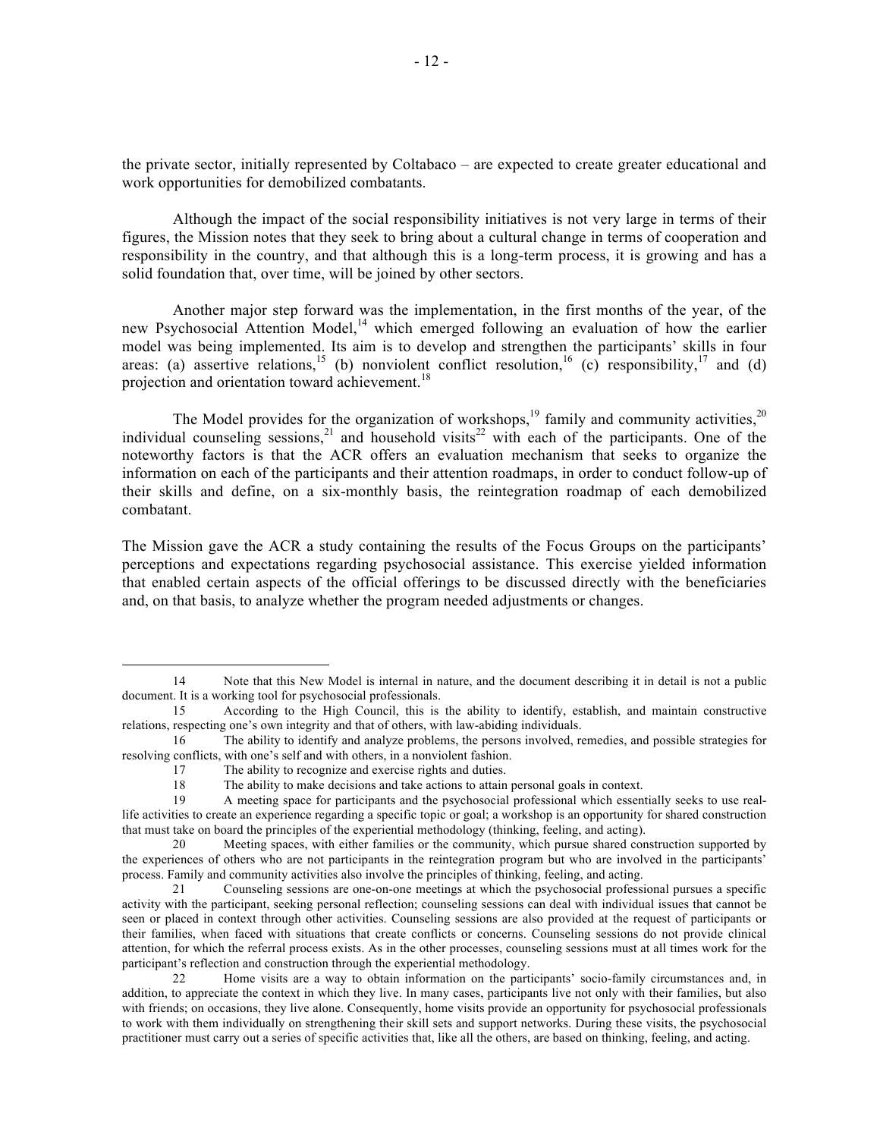the private sector, initially represented by Coltabaco – are expected to create greater educational and work opportunities for demobilized combatants.

Although the impact of the social responsibility initiatives is not very large in terms of their figures, the Mission notes that they seek to bring about a cultural change in terms of cooperation and responsibility in the country, and that although this is a long-term process, it is growing and has a solid foundation that, over time, will be joined by other sectors.

Another major step forward was the implementation, in the first months of the year, of the new Psychosocial Attention Model,<sup>14</sup> which emerged following an evaluation of how the earlier model was being implemented. Its aim is to develop and strengthen the participants' skills in four areas: (a) assertive relations,<sup>15</sup> (b) nonviolent conflict resolution,<sup>16</sup> (c) responsibility,<sup>17</sup> and (d) projection and orientation toward achievement.<sup>18</sup>

The Model provides for the organization of workshops,<sup>19</sup> family and community activities,<sup>20</sup> individual counseling sessions,<sup>21</sup> and household visits<sup>22</sup> with each of the participants. One of the noteworthy factors is that the ACR offers an evaluation mechanism that seeks to organize the information on each of the participants and their attention roadmaps, in order to conduct follow-up of their skills and define, on a six-monthly basis, the reintegration roadmap of each demobilized combatant.

The Mission gave the ACR a study containing the results of the Focus Groups on the participants' perceptions and expectations regarding psychosocial assistance. This exercise yielded information that enabled certain aspects of the official offerings to be discussed directly with the beneficiaries and, on that basis, to analyze whether the program needed adjustments or changes.

 <sup>14</sup> Note that this New Model is internal in nature, and the document describing it in detail is not a public document. It is a working tool for psychosocial professionals.

<sup>15</sup> According to the High Council, this is the ability to identify, establish, and maintain constructive relations, respecting one's own integrity and that of others, with law-abiding individuals.

<sup>16</sup> The ability to identify and analyze problems, the persons involved, remedies, and possible strategies for resolving conflicts, with one's self and with others, in a nonviolent fashion.

<sup>17</sup> The ability to recognize and exercise rights and duties.

<sup>18</sup> The ability to make decisions and take actions to attain personal goals in context.<br>19 A meeting space for participants and the psychosocial professional which essen

A meeting space for participants and the psychosocial professional which essentially seeks to use reallife activities to create an experience regarding a specific topic or goal; a workshop is an opportunity for shared construction that must take on board the principles of the experiential methodology (thinking, feeling, and acting).

<sup>20</sup> Meeting spaces, with either families or the community, which pursue shared construction supported by the experiences of others who are not participants in the reintegration program but who are involved in the participants' process. Family and community activities also involve the principles of thinking, feeling, and acting.

<sup>21</sup> Counseling sessions are one-on-one meetings at which the psychosocial professional pursues a specific activity with the participant, seeking personal reflection; counseling sessions can deal with individual issues that cannot be seen or placed in context through other activities. Counseling sessions are also provided at the request of participants or their families, when faced with situations that create conflicts or concerns. Counseling sessions do not provide clinical attention, for which the referral process exists. As in the other processes, counseling sessions must at all times work for the participant's reflection and construction through the experiential methodology.

<sup>22</sup> Home visits are a way to obtain information on the participants' socio-family circumstances and, in addition, to appreciate the context in which they live. In many cases, participants live not only with their families, but also with friends; on occasions, they live alone. Consequently, home visits provide an opportunity for psychosocial professionals to work with them individually on strengthening their skill sets and support networks. During these visits, the psychosocial practitioner must carry out a series of specific activities that, like all the others, are based on thinking, feeling, and acting.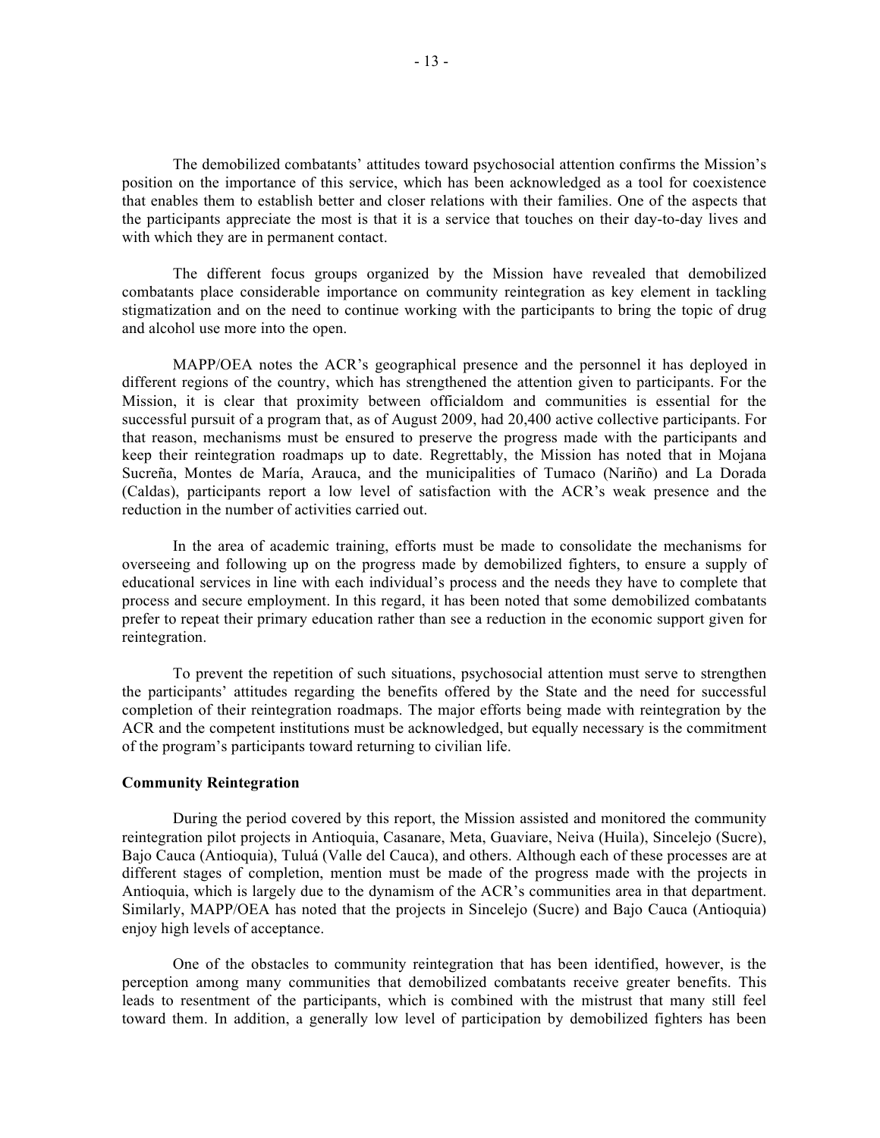The demobilized combatants' attitudes toward psychosocial attention confirms the Mission's position on the importance of this service, which has been acknowledged as a tool for coexistence that enables them to establish better and closer relations with their families. One of the aspects that the participants appreciate the most is that it is a service that touches on their day-to-day lives and with which they are in permanent contact.

The different focus groups organized by the Mission have revealed that demobilized combatants place considerable importance on community reintegration as key element in tackling stigmatization and on the need to continue working with the participants to bring the topic of drug and alcohol use more into the open.

MAPP/OEA notes the ACR's geographical presence and the personnel it has deployed in different regions of the country, which has strengthened the attention given to participants. For the Mission, it is clear that proximity between officialdom and communities is essential for the successful pursuit of a program that, as of August 2009, had 20,400 active collective participants. For that reason, mechanisms must be ensured to preserve the progress made with the participants and keep their reintegration roadmaps up to date. Regrettably, the Mission has noted that in Mojana Sucreña, Montes de María, Arauca, and the municipalities of Tumaco (Nariño) and La Dorada (Caldas), participants report a low level of satisfaction with the ACR's weak presence and the reduction in the number of activities carried out.

In the area of academic training, efforts must be made to consolidate the mechanisms for overseeing and following up on the progress made by demobilized fighters, to ensure a supply of educational services in line with each individual's process and the needs they have to complete that process and secure employment. In this regard, it has been noted that some demobilized combatants prefer to repeat their primary education rather than see a reduction in the economic support given for reintegration.

To prevent the repetition of such situations, psychosocial attention must serve to strengthen the participants' attitudes regarding the benefits offered by the State and the need for successful completion of their reintegration roadmaps. The major efforts being made with reintegration by the ACR and the competent institutions must be acknowledged, but equally necessary is the commitment of the program's participants toward returning to civilian life.

## **Community Reintegration**

During the period covered by this report, the Mission assisted and monitored the community reintegration pilot projects in Antioquia, Casanare, Meta, Guaviare, Neiva (Huila), Sincelejo (Sucre), Bajo Cauca (Antioquia), Tuluá (Valle del Cauca), and others. Although each of these processes are at different stages of completion, mention must be made of the progress made with the projects in Antioquia, which is largely due to the dynamism of the ACR's communities area in that department. Similarly, MAPP/OEA has noted that the projects in Sincelejo (Sucre) and Bajo Cauca (Antioquia) enjoy high levels of acceptance.

One of the obstacles to community reintegration that has been identified, however, is the perception among many communities that demobilized combatants receive greater benefits. This leads to resentment of the participants, which is combined with the mistrust that many still feel toward them. In addition, a generally low level of participation by demobilized fighters has been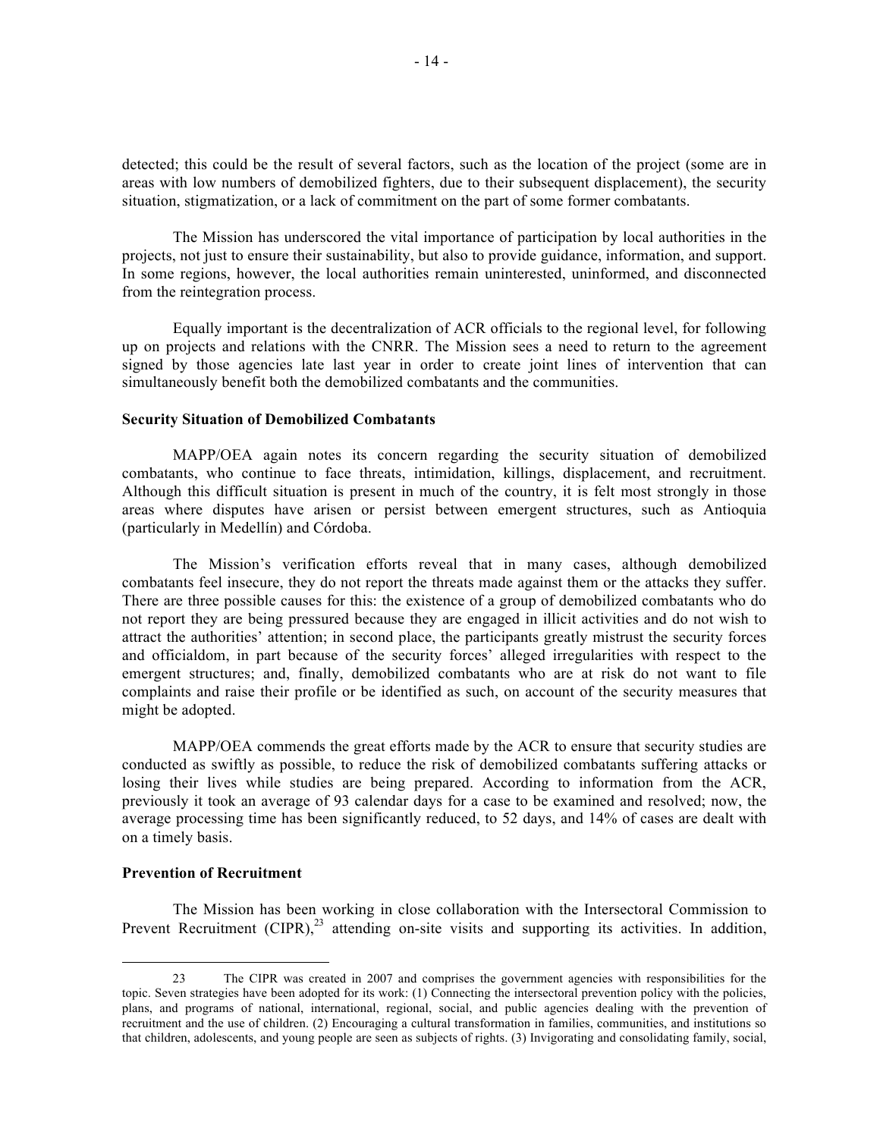detected; this could be the result of several factors, such as the location of the project (some are in areas with low numbers of demobilized fighters, due to their subsequent displacement), the security situation, stigmatization, or a lack of commitment on the part of some former combatants.

The Mission has underscored the vital importance of participation by local authorities in the projects, not just to ensure their sustainability, but also to provide guidance, information, and support. In some regions, however, the local authorities remain uninterested, uninformed, and disconnected from the reintegration process.

Equally important is the decentralization of ACR officials to the regional level, for following up on projects and relations with the CNRR. The Mission sees a need to return to the agreement signed by those agencies late last year in order to create joint lines of intervention that can simultaneously benefit both the demobilized combatants and the communities.

### **Security Situation of Demobilized Combatants**

MAPP/OEA again notes its concern regarding the security situation of demobilized combatants, who continue to face threats, intimidation, killings, displacement, and recruitment. Although this difficult situation is present in much of the country, it is felt most strongly in those areas where disputes have arisen or persist between emergent structures, such as Antioquia (particularly in Medellín) and Córdoba.

The Mission's verification efforts reveal that in many cases, although demobilized combatants feel insecure, they do not report the threats made against them or the attacks they suffer. There are three possible causes for this: the existence of a group of demobilized combatants who do not report they are being pressured because they are engaged in illicit activities and do not wish to attract the authorities' attention; in second place, the participants greatly mistrust the security forces and officialdom, in part because of the security forces' alleged irregularities with respect to the emergent structures; and, finally, demobilized combatants who are at risk do not want to file complaints and raise their profile or be identified as such, on account of the security measures that might be adopted.

MAPP/OEA commends the great efforts made by the ACR to ensure that security studies are conducted as swiftly as possible, to reduce the risk of demobilized combatants suffering attacks or losing their lives while studies are being prepared. According to information from the ACR, previously it took an average of 93 calendar days for a case to be examined and resolved; now, the average processing time has been significantly reduced, to 52 days, and 14% of cases are dealt with on a timely basis.

### **Prevention of Recruitment**

The Mission has been working in close collaboration with the Intersectoral Commission to Prevent Recruitment  $(CIPR)$ ,<sup>23</sup> attending on-site visits and supporting its activities. In addition,

 <sup>23</sup> The CIPR was created in 2007 and comprises the government agencies with responsibilities for the topic. Seven strategies have been adopted for its work: (1) Connecting the intersectoral prevention policy with the policies, plans, and programs of national, international, regional, social, and public agencies dealing with the prevention of recruitment and the use of children. (2) Encouraging a cultural transformation in families, communities, and institutions so that children, adolescents, and young people are seen as subjects of rights. (3) Invigorating and consolidating family, social,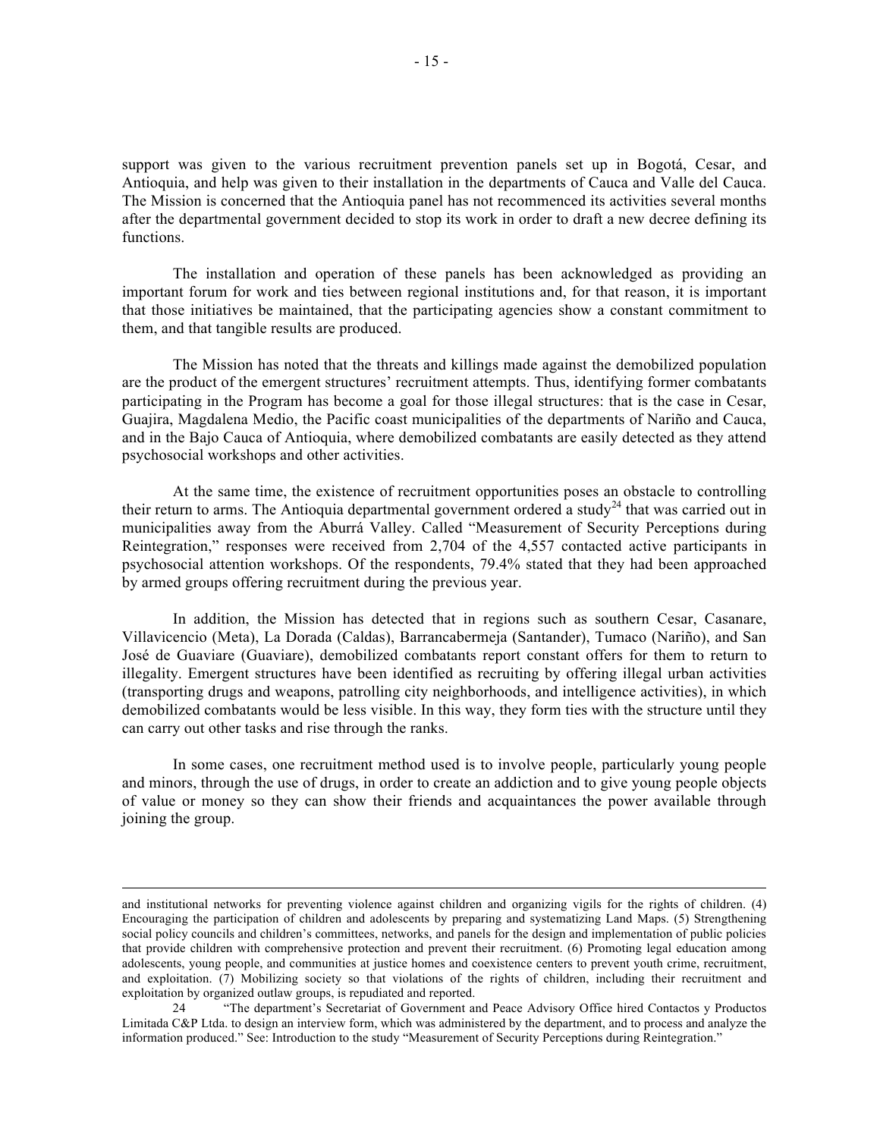support was given to the various recruitment prevention panels set up in Bogotá, Cesar, and Antioquia, and help was given to their installation in the departments of Cauca and Valle del Cauca. The Mission is concerned that the Antioquia panel has not recommenced its activities several months after the departmental government decided to stop its work in order to draft a new decree defining its functions.

The installation and operation of these panels has been acknowledged as providing an important forum for work and ties between regional institutions and, for that reason, it is important that those initiatives be maintained, that the participating agencies show a constant commitment to them, and that tangible results are produced.

The Mission has noted that the threats and killings made against the demobilized population are the product of the emergent structures' recruitment attempts. Thus, identifying former combatants participating in the Program has become a goal for those illegal structures: that is the case in Cesar, Guajira, Magdalena Medio, the Pacific coast municipalities of the departments of Nariño and Cauca, and in the Bajo Cauca of Antioquia, where demobilized combatants are easily detected as they attend psychosocial workshops and other activities.

At the same time, the existence of recruitment opportunities poses an obstacle to controlling their return to arms. The Antioquia departmental government ordered a study<sup>24</sup> that was carried out in municipalities away from the Aburrá Valley. Called "Measurement of Security Perceptions during Reintegration," responses were received from 2,704 of the 4,557 contacted active participants in psychosocial attention workshops. Of the respondents, 79.4% stated that they had been approached by armed groups offering recruitment during the previous year.

In addition, the Mission has detected that in regions such as southern Cesar, Casanare, Villavicencio (Meta), La Dorada (Caldas), Barrancabermeja (Santander), Tumaco (Nariño), and San José de Guaviare (Guaviare), demobilized combatants report constant offers for them to return to illegality. Emergent structures have been identified as recruiting by offering illegal urban activities (transporting drugs and weapons, patrolling city neighborhoods, and intelligence activities), in which demobilized combatants would be less visible. In this way, they form ties with the structure until they can carry out other tasks and rise through the ranks.

In some cases, one recruitment method used is to involve people, particularly young people and minors, through the use of drugs, in order to create an addiction and to give young people objects of value or money so they can show their friends and acquaintances the power available through joining the group.

and institutional networks for preventing violence against children and organizing vigils for the rights of children. (4) Encouraging the participation of children and adolescents by preparing and systematizing Land Maps. (5) Strengthening social policy councils and children's committees, networks, and panels for the design and implementation of public policies that provide children with comprehensive protection and prevent their recruitment. (6) Promoting legal education among adolescents, young people, and communities at justice homes and coexistence centers to prevent youth crime, recruitment, and exploitation. (7) Mobilizing society so that violations of the rights of children, including their recruitment and exploitation by organized outlaw groups, is repudiated and reported.

<sup>24</sup> "The department's Secretariat of Government and Peace Advisory Office hired Contactos y Productos Limitada C&P Ltda. to design an interview form, which was administered by the department, and to process and analyze the information produced." See: Introduction to the study "Measurement of Security Perceptions during Reintegration."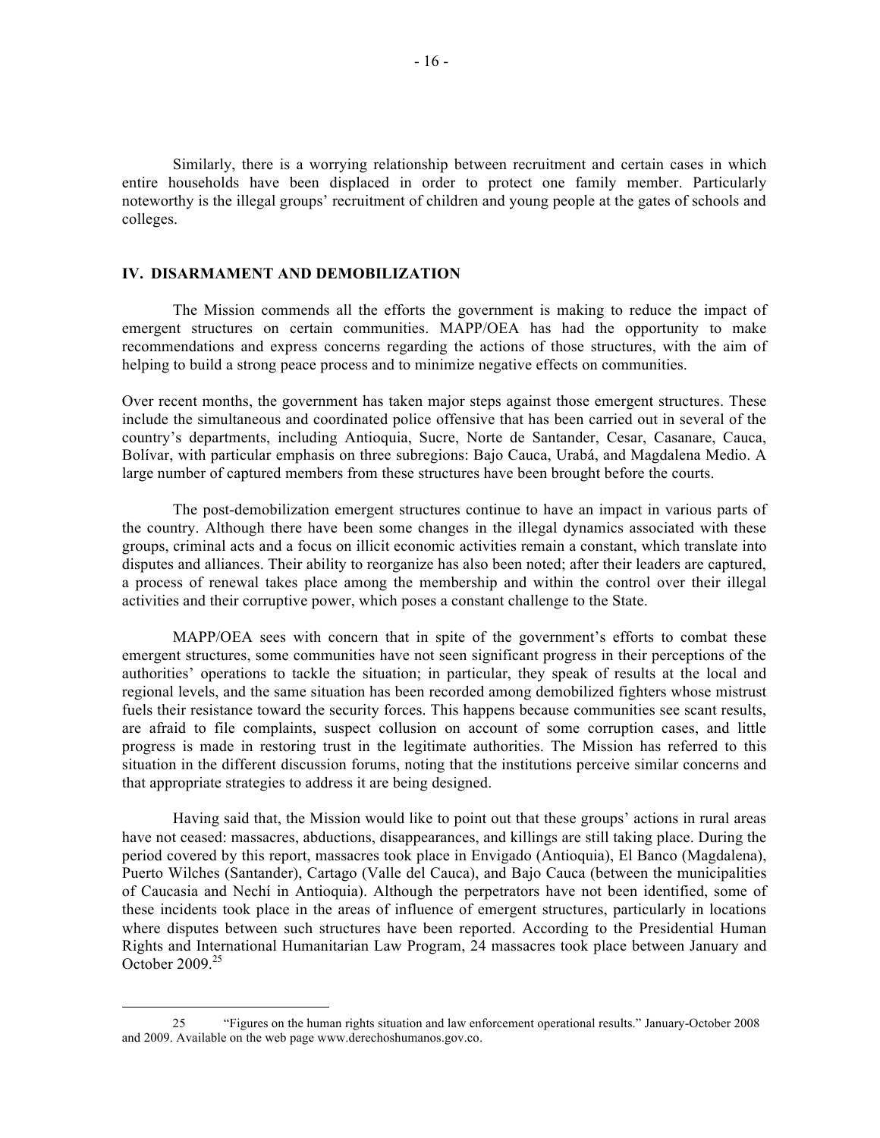Similarly, there is a worrying relationship between recruitment and certain cases in which entire households have been displaced in order to protect one family member. Particularly noteworthy is the illegal groups' recruitment of children and young people at the gates of schools and colleges.

### **IV. DISARMAMENT AND DEMOBILIZATION**

The Mission commends all the efforts the government is making to reduce the impact of emergent structures on certain communities. MAPP/OEA has had the opportunity to make recommendations and express concerns regarding the actions of those structures, with the aim of helping to build a strong peace process and to minimize negative effects on communities.

Over recent months, the government has taken major steps against those emergent structures. These include the simultaneous and coordinated police offensive that has been carried out in several of the country's departments, including Antioquia, Sucre, Norte de Santander, Cesar, Casanare, Cauca, Bolívar, with particular emphasis on three subregions: Bajo Cauca, Urabá, and Magdalena Medio. A large number of captured members from these structures have been brought before the courts.

The post-demobilization emergent structures continue to have an impact in various parts of the country. Although there have been some changes in the illegal dynamics associated with these groups, criminal acts and a focus on illicit economic activities remain a constant, which translate into disputes and alliances. Their ability to reorganize has also been noted; after their leaders are captured, a process of renewal takes place among the membership and within the control over their illegal activities and their corruptive power, which poses a constant challenge to the State.

MAPP/OEA sees with concern that in spite of the government's efforts to combat these emergent structures, some communities have not seen significant progress in their perceptions of the authorities' operations to tackle the situation; in particular, they speak of results at the local and regional levels, and the same situation has been recorded among demobilized fighters whose mistrust fuels their resistance toward the security forces. This happens because communities see scant results, are afraid to file complaints, suspect collusion on account of some corruption cases, and little progress is made in restoring trust in the legitimate authorities. The Mission has referred to this situation in the different discussion forums, noting that the institutions perceive similar concerns and that appropriate strategies to address it are being designed.

Having said that, the Mission would like to point out that these groups' actions in rural areas have not ceased: massacres, abductions, disappearances, and killings are still taking place. During the period covered by this report, massacres took place in Envigado (Antioquia), El Banco (Magdalena), Puerto Wilches (Santander), Cartago (Valle del Cauca), and Bajo Cauca (between the municipalities of Caucasia and Nechí in Antioquia). Although the perpetrators have not been identified, some of these incidents took place in the areas of influence of emergent structures, particularly in locations where disputes between such structures have been reported. According to the Presidential Human Rights and International Humanitarian Law Program, 24 massacres took place between January and October 2009.25

 <sup>25</sup> "Figures on the human rights situation and law enforcement operational results." January-October 2008 and 2009. Available on the web page www.derechoshumanos.gov.co.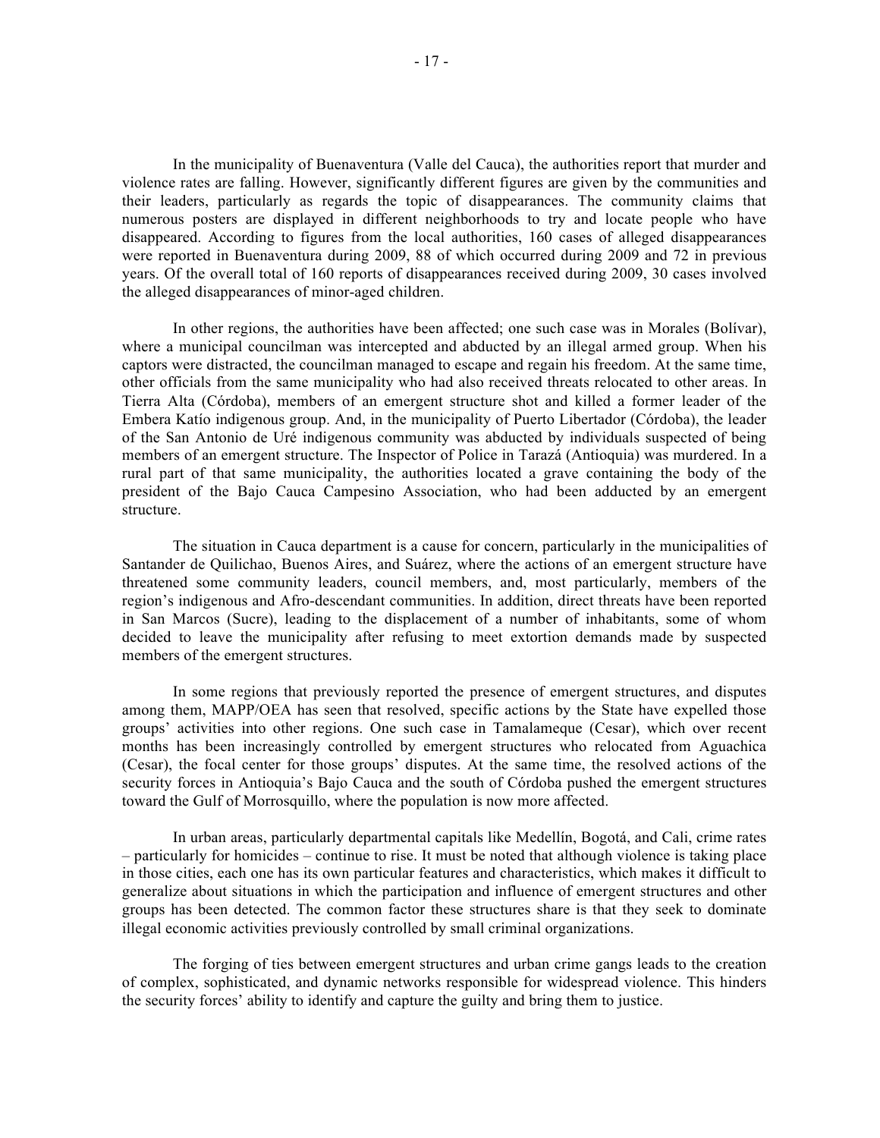In the municipality of Buenaventura (Valle del Cauca), the authorities report that murder and violence rates are falling. However, significantly different figures are given by the communities and their leaders, particularly as regards the topic of disappearances. The community claims that numerous posters are displayed in different neighborhoods to try and locate people who have disappeared. According to figures from the local authorities, 160 cases of alleged disappearances were reported in Buenaventura during 2009, 88 of which occurred during 2009 and 72 in previous years. Of the overall total of 160 reports of disappearances received during 2009, 30 cases involved the alleged disappearances of minor-aged children.

In other regions, the authorities have been affected; one such case was in Morales (Bolívar), where a municipal councilman was intercepted and abducted by an illegal armed group. When his captors were distracted, the councilman managed to escape and regain his freedom. At the same time, other officials from the same municipality who had also received threats relocated to other areas. In Tierra Alta (Córdoba), members of an emergent structure shot and killed a former leader of the Embera Katío indigenous group. And, in the municipality of Puerto Libertador (Córdoba), the leader of the San Antonio de Uré indigenous community was abducted by individuals suspected of being members of an emergent structure. The Inspector of Police in Tarazá (Antioquia) was murdered. In a rural part of that same municipality, the authorities located a grave containing the body of the president of the Bajo Cauca Campesino Association, who had been adducted by an emergent structure.

The situation in Cauca department is a cause for concern, particularly in the municipalities of Santander de Quilichao, Buenos Aires, and Suárez, where the actions of an emergent structure have threatened some community leaders, council members, and, most particularly, members of the region's indigenous and Afro-descendant communities. In addition, direct threats have been reported in San Marcos (Sucre), leading to the displacement of a number of inhabitants, some of whom decided to leave the municipality after refusing to meet extortion demands made by suspected members of the emergent structures.

In some regions that previously reported the presence of emergent structures, and disputes among them, MAPP/OEA has seen that resolved, specific actions by the State have expelled those groups' activities into other regions. One such case in Tamalameque (Cesar), which over recent months has been increasingly controlled by emergent structures who relocated from Aguachica (Cesar), the focal center for those groups' disputes. At the same time, the resolved actions of the security forces in Antioquia's Bajo Cauca and the south of Córdoba pushed the emergent structures toward the Gulf of Morrosquillo, where the population is now more affected.

In urban areas, particularly departmental capitals like Medellín, Bogotá, and Cali, crime rates – particularly for homicides – continue to rise. It must be noted that although violence is taking place in those cities, each one has its own particular features and characteristics, which makes it difficult to generalize about situations in which the participation and influence of emergent structures and other groups has been detected. The common factor these structures share is that they seek to dominate illegal economic activities previously controlled by small criminal organizations.

The forging of ties between emergent structures and urban crime gangs leads to the creation of complex, sophisticated, and dynamic networks responsible for widespread violence. This hinders the security forces' ability to identify and capture the guilty and bring them to justice.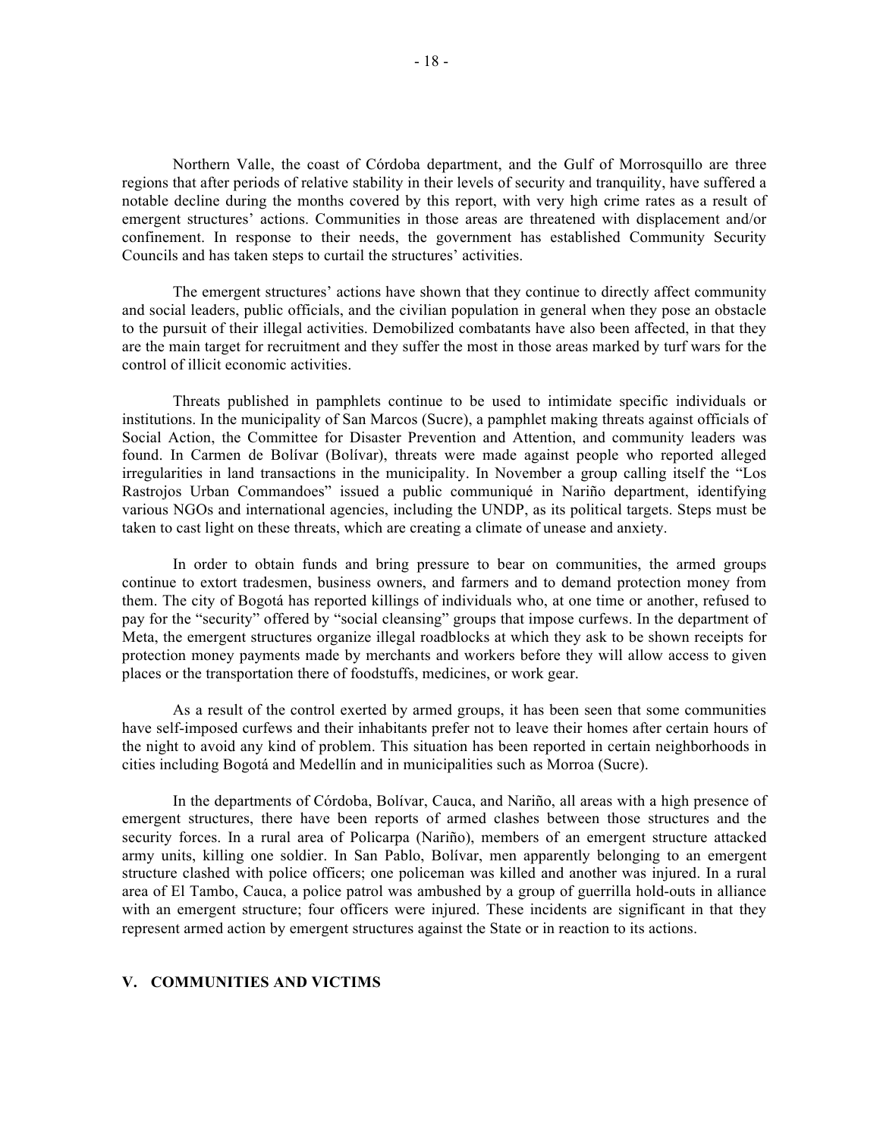Northern Valle, the coast of Córdoba department, and the Gulf of Morrosquillo are three regions that after periods of relative stability in their levels of security and tranquility, have suffered a notable decline during the months covered by this report, with very high crime rates as a result of emergent structures' actions. Communities in those areas are threatened with displacement and/or confinement. In response to their needs, the government has established Community Security Councils and has taken steps to curtail the structures' activities.

The emergent structures' actions have shown that they continue to directly affect community and social leaders, public officials, and the civilian population in general when they pose an obstacle to the pursuit of their illegal activities. Demobilized combatants have also been affected, in that they are the main target for recruitment and they suffer the most in those areas marked by turf wars for the control of illicit economic activities.

Threats published in pamphlets continue to be used to intimidate specific individuals or institutions. In the municipality of San Marcos (Sucre), a pamphlet making threats against officials of Social Action, the Committee for Disaster Prevention and Attention, and community leaders was found. In Carmen de Bolívar (Bolívar), threats were made against people who reported alleged irregularities in land transactions in the municipality. In November a group calling itself the "Los Rastrojos Urban Commandoes" issued a public communiqué in Nariño department, identifying various NGOs and international agencies, including the UNDP, as its political targets. Steps must be taken to cast light on these threats, which are creating a climate of unease and anxiety.

In order to obtain funds and bring pressure to bear on communities, the armed groups continue to extort tradesmen, business owners, and farmers and to demand protection money from them. The city of Bogotá has reported killings of individuals who, at one time or another, refused to pay for the "security" offered by "social cleansing" groups that impose curfews. In the department of Meta, the emergent structures organize illegal roadblocks at which they ask to be shown receipts for protection money payments made by merchants and workers before they will allow access to given places or the transportation there of foodstuffs, medicines, or work gear.

As a result of the control exerted by armed groups, it has been seen that some communities have self-imposed curfews and their inhabitants prefer not to leave their homes after certain hours of the night to avoid any kind of problem. This situation has been reported in certain neighborhoods in cities including Bogotá and Medellín and in municipalities such as Morroa (Sucre).

In the departments of Córdoba, Bolívar, Cauca, and Nariño, all areas with a high presence of emergent structures, there have been reports of armed clashes between those structures and the security forces. In a rural area of Policarpa (Nariño), members of an emergent structure attacked army units, killing one soldier. In San Pablo, Bolívar, men apparently belonging to an emergent structure clashed with police officers; one policeman was killed and another was injured. In a rural area of El Tambo, Cauca, a police patrol was ambushed by a group of guerrilla hold-outs in alliance with an emergent structure; four officers were injured. These incidents are significant in that they represent armed action by emergent structures against the State or in reaction to its actions.

## **V. COMMUNITIES AND VICTIMS**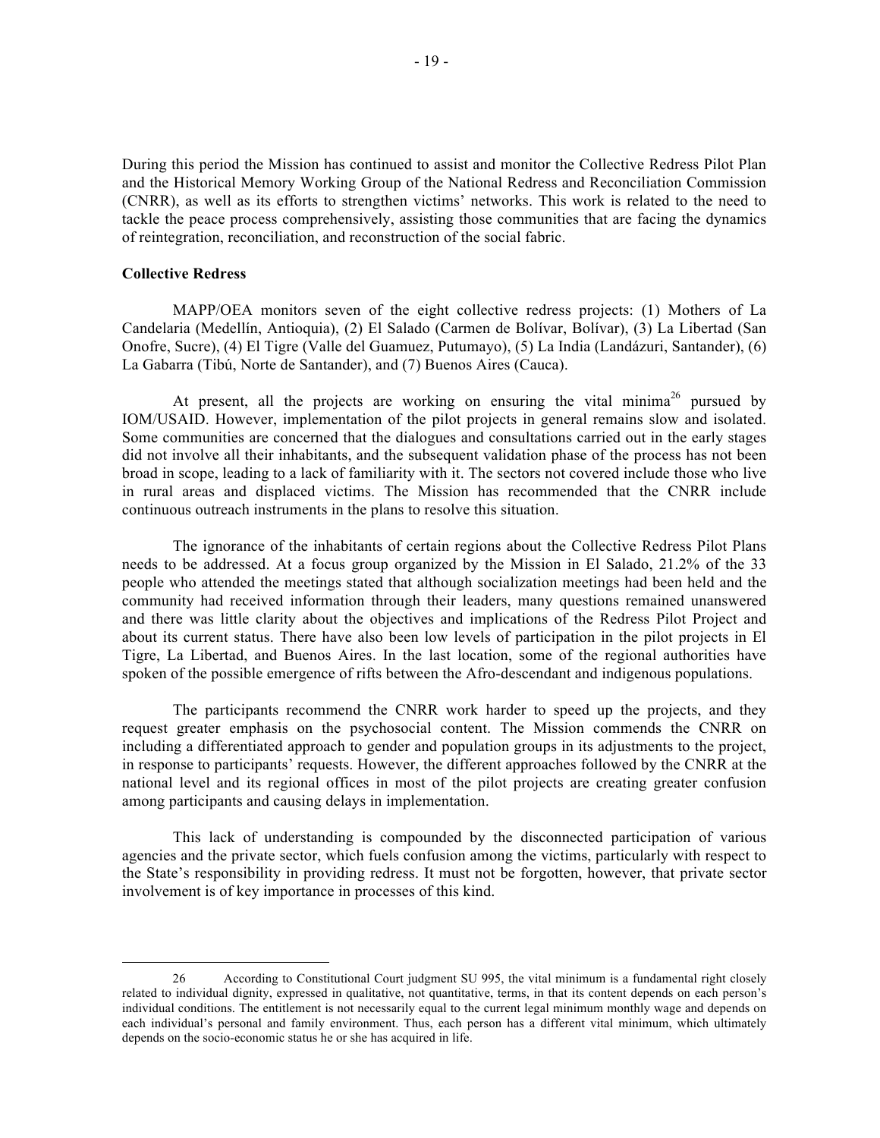During this period the Mission has continued to assist and monitor the Collective Redress Pilot Plan and the Historical Memory Working Group of the National Redress and Reconciliation Commission (CNRR), as well as its efforts to strengthen victims' networks. This work is related to the need to tackle the peace process comprehensively, assisting those communities that are facing the dynamics of reintegration, reconciliation, and reconstruction of the social fabric.

#### **Collective Redress**

MAPP/OEA monitors seven of the eight collective redress projects: (1) Mothers of La Candelaria (Medellín, Antioquia), (2) El Salado (Carmen de Bolívar, Bolívar), (3) La Libertad (San Onofre, Sucre), (4) El Tigre (Valle del Guamuez, Putumayo), (5) La India (Landázuri, Santander), (6) La Gabarra (Tibú, Norte de Santander), and (7) Buenos Aires (Cauca).

At present, all the projects are working on ensuring the vital minima<sup>26</sup> pursued by IOM/USAID. However, implementation of the pilot projects in general remains slow and isolated. Some communities are concerned that the dialogues and consultations carried out in the early stages did not involve all their inhabitants, and the subsequent validation phase of the process has not been broad in scope, leading to a lack of familiarity with it. The sectors not covered include those who live in rural areas and displaced victims. The Mission has recommended that the CNRR include continuous outreach instruments in the plans to resolve this situation.

The ignorance of the inhabitants of certain regions about the Collective Redress Pilot Plans needs to be addressed. At a focus group organized by the Mission in El Salado, 21.2% of the 33 people who attended the meetings stated that although socialization meetings had been held and the community had received information through their leaders, many questions remained unanswered and there was little clarity about the objectives and implications of the Redress Pilot Project and about its current status. There have also been low levels of participation in the pilot projects in El Tigre, La Libertad, and Buenos Aires. In the last location, some of the regional authorities have spoken of the possible emergence of rifts between the Afro-descendant and indigenous populations.

The participants recommend the CNRR work harder to speed up the projects, and they request greater emphasis on the psychosocial content. The Mission commends the CNRR on including a differentiated approach to gender and population groups in its adjustments to the project, in response to participants' requests. However, the different approaches followed by the CNRR at the national level and its regional offices in most of the pilot projects are creating greater confusion among participants and causing delays in implementation.

This lack of understanding is compounded by the disconnected participation of various agencies and the private sector, which fuels confusion among the victims, particularly with respect to the State's responsibility in providing redress. It must not be forgotten, however, that private sector involvement is of key importance in processes of this kind.

 <sup>26</sup> According to Constitutional Court judgment SU 995, the vital minimum is a fundamental right closely related to individual dignity, expressed in qualitative, not quantitative, terms, in that its content depends on each person's individual conditions. The entitlement is not necessarily equal to the current legal minimum monthly wage and depends on each individual's personal and family environment. Thus, each person has a different vital minimum, which ultimately depends on the socio-economic status he or she has acquired in life.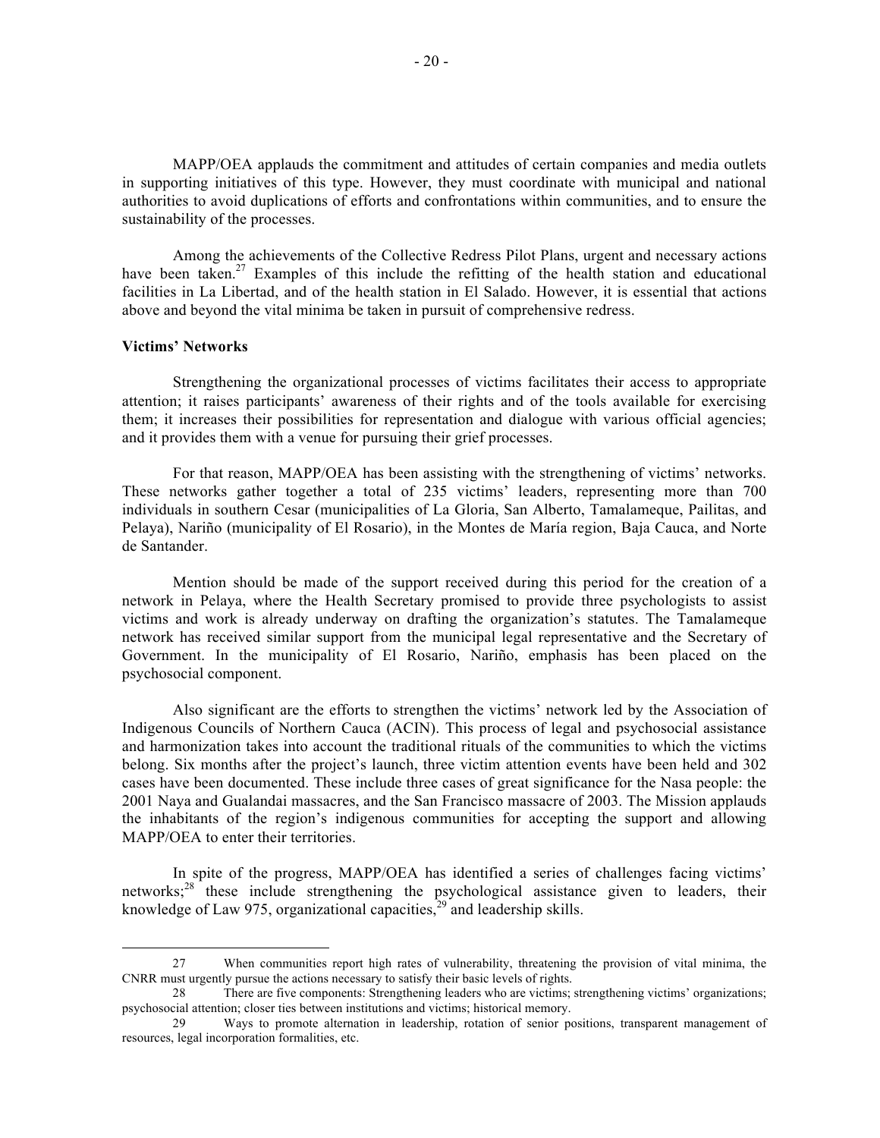MAPP/OEA applauds the commitment and attitudes of certain companies and media outlets in supporting initiatives of this type. However, they must coordinate with municipal and national authorities to avoid duplications of efforts and confrontations within communities, and to ensure the sustainability of the processes.

Among the achievements of the Collective Redress Pilot Plans, urgent and necessary actions have been taken.<sup>27</sup> Examples of this include the refitting of the health station and educational facilities in La Libertad, and of the health station in El Salado. However, it is essential that actions above and beyond the vital minima be taken in pursuit of comprehensive redress.

#### **Victims' Networks**

Strengthening the organizational processes of victims facilitates their access to appropriate attention; it raises participants' awareness of their rights and of the tools available for exercising them; it increases their possibilities for representation and dialogue with various official agencies; and it provides them with a venue for pursuing their grief processes.

For that reason, MAPP/OEA has been assisting with the strengthening of victims' networks. These networks gather together a total of 235 victims' leaders, representing more than 700 individuals in southern Cesar (municipalities of La Gloria, San Alberto, Tamalameque, Pailitas, and Pelaya), Nariño (municipality of El Rosario), in the Montes de María region, Baja Cauca, and Norte de Santander.

Mention should be made of the support received during this period for the creation of a network in Pelaya, where the Health Secretary promised to provide three psychologists to assist victims and work is already underway on drafting the organization's statutes. The Tamalameque network has received similar support from the municipal legal representative and the Secretary of Government. In the municipality of El Rosario, Nariño, emphasis has been placed on the psychosocial component.

Also significant are the efforts to strengthen the victims' network led by the Association of Indigenous Councils of Northern Cauca (ACIN). This process of legal and psychosocial assistance and harmonization takes into account the traditional rituals of the communities to which the victims belong. Six months after the project's launch, three victim attention events have been held and 302 cases have been documented. These include three cases of great significance for the Nasa people: the 2001 Naya and Gualandai massacres, and the San Francisco massacre of 2003. The Mission applauds the inhabitants of the region's indigenous communities for accepting the support and allowing MAPP/OEA to enter their territories.

In spite of the progress, MAPP/OEA has identified a series of challenges facing victims' networks;<sup>28</sup> these include strengthening the psychological assistance given to leaders, their knowledge of Law 975, organizational capacities,<sup>29</sup> and leadership skills.

 <sup>27</sup> When communities report high rates of vulnerability, threatening the provision of vital minima, the CNRR must urgently pursue the actions necessary to satisfy their basic levels of rights.

<sup>28</sup> There are five components: Strengthening leaders who are victims; strengthening victims' organizations; psychosocial attention; closer ties between institutions and victims; historical memory.

<sup>29</sup> Ways to promote alternation in leadership, rotation of senior positions, transparent management of resources, legal incorporation formalities, etc.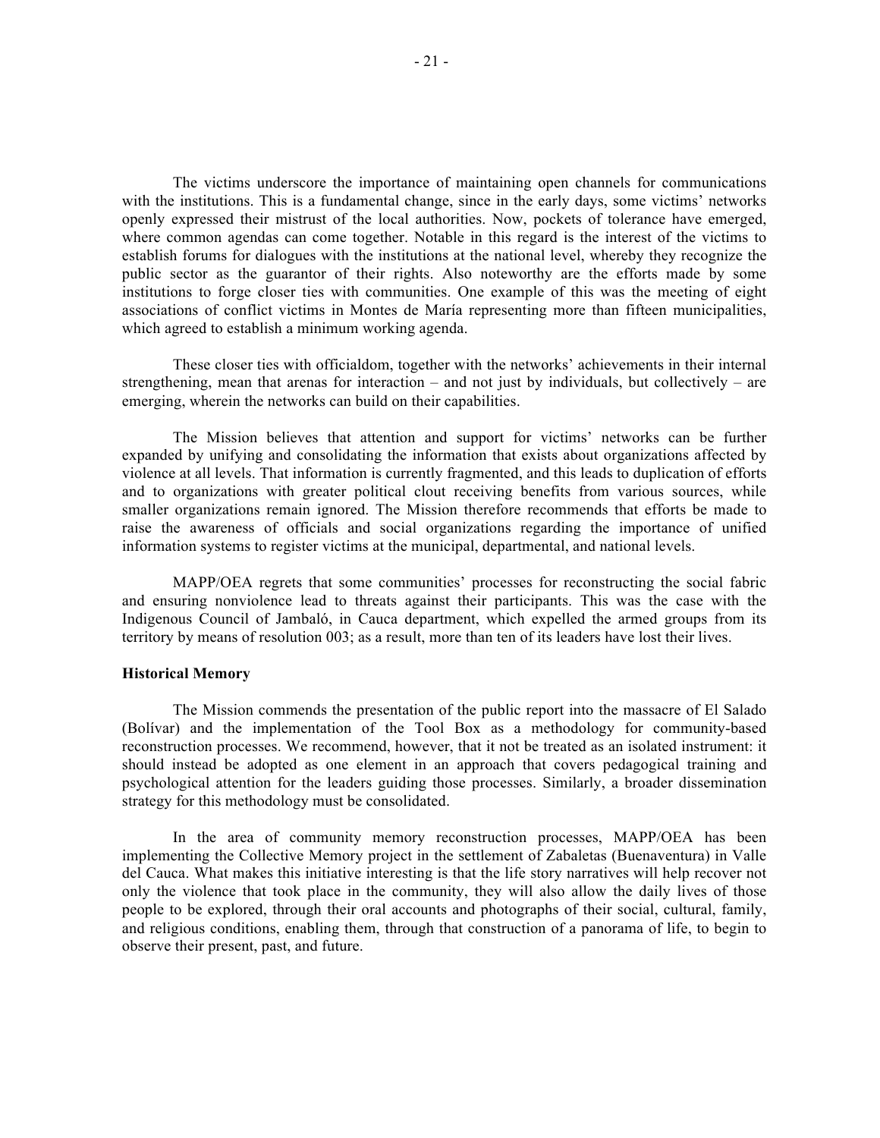The victims underscore the importance of maintaining open channels for communications with the institutions. This is a fundamental change, since in the early days, some victims' networks openly expressed their mistrust of the local authorities. Now, pockets of tolerance have emerged, where common agendas can come together. Notable in this regard is the interest of the victims to establish forums for dialogues with the institutions at the national level, whereby they recognize the public sector as the guarantor of their rights. Also noteworthy are the efforts made by some institutions to forge closer ties with communities. One example of this was the meeting of eight associations of conflict victims in Montes de María representing more than fifteen municipalities, which agreed to establish a minimum working agenda.

These closer ties with officialdom, together with the networks' achievements in their internal strengthening, mean that arenas for interaction – and not just by individuals, but collectively – are emerging, wherein the networks can build on their capabilities.

The Mission believes that attention and support for victims' networks can be further expanded by unifying and consolidating the information that exists about organizations affected by violence at all levels. That information is currently fragmented, and this leads to duplication of efforts and to organizations with greater political clout receiving benefits from various sources, while smaller organizations remain ignored. The Mission therefore recommends that efforts be made to raise the awareness of officials and social organizations regarding the importance of unified information systems to register victims at the municipal, departmental, and national levels.

MAPP/OEA regrets that some communities' processes for reconstructing the social fabric and ensuring nonviolence lead to threats against their participants. This was the case with the Indigenous Council of Jambaló, in Cauca department, which expelled the armed groups from its territory by means of resolution 003; as a result, more than ten of its leaders have lost their lives.

#### **Historical Memory**

The Mission commends the presentation of the public report into the massacre of El Salado (Bolívar) and the implementation of the Tool Box as a methodology for community-based reconstruction processes. We recommend, however, that it not be treated as an isolated instrument: it should instead be adopted as one element in an approach that covers pedagogical training and psychological attention for the leaders guiding those processes. Similarly, a broader dissemination strategy for this methodology must be consolidated.

In the area of community memory reconstruction processes, MAPP/OEA has been implementing the Collective Memory project in the settlement of Zabaletas (Buenaventura) in Valle del Cauca. What makes this initiative interesting is that the life story narratives will help recover not only the violence that took place in the community, they will also allow the daily lives of those people to be explored, through their oral accounts and photographs of their social, cultural, family, and religious conditions, enabling them, through that construction of a panorama of life, to begin to observe their present, past, and future.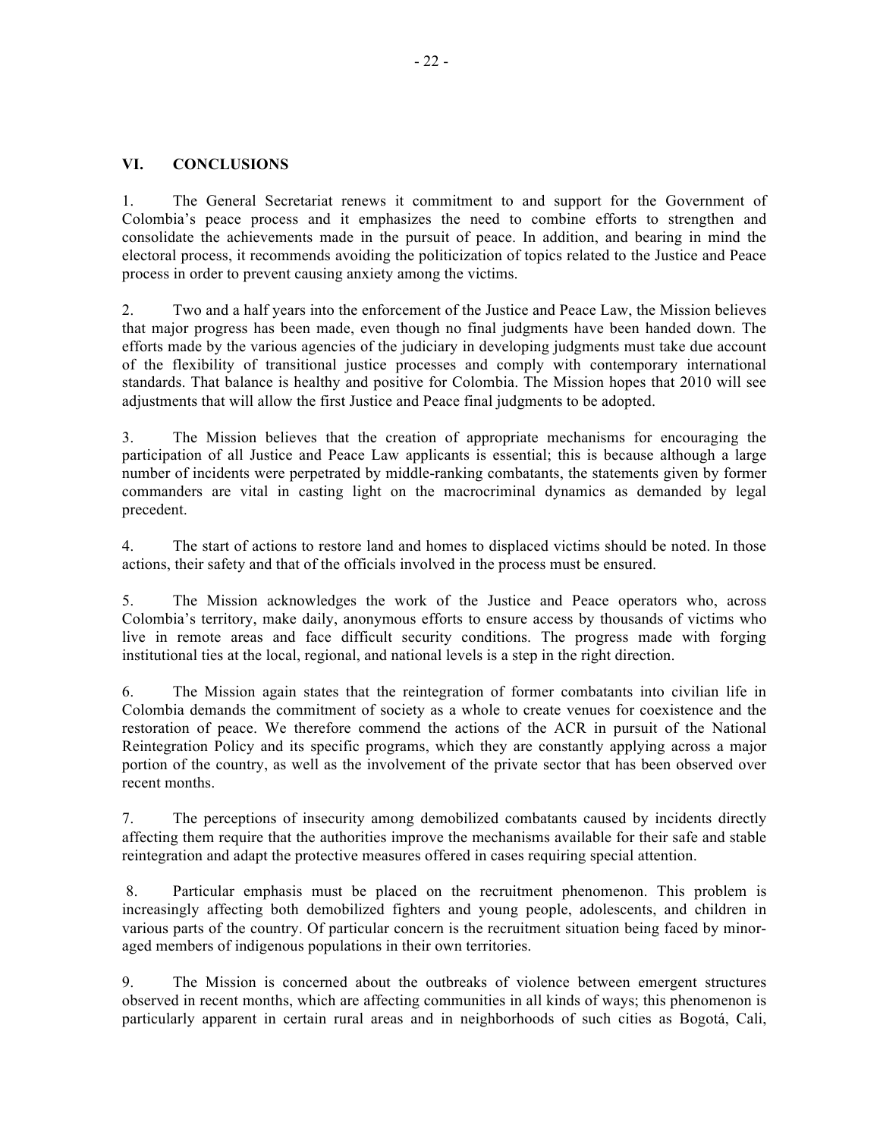## **VI. CONCLUSIONS**

1. The General Secretariat renews it commitment to and support for the Government of Colombia's peace process and it emphasizes the need to combine efforts to strengthen and consolidate the achievements made in the pursuit of peace. In addition, and bearing in mind the electoral process, it recommends avoiding the politicization of topics related to the Justice and Peace process in order to prevent causing anxiety among the victims.

2. Two and a half years into the enforcement of the Justice and Peace Law, the Mission believes that major progress has been made, even though no final judgments have been handed down. The efforts made by the various agencies of the judiciary in developing judgments must take due account of the flexibility of transitional justice processes and comply with contemporary international standards. That balance is healthy and positive for Colombia. The Mission hopes that 2010 will see adjustments that will allow the first Justice and Peace final judgments to be adopted.

3. The Mission believes that the creation of appropriate mechanisms for encouraging the participation of all Justice and Peace Law applicants is essential; this is because although a large number of incidents were perpetrated by middle-ranking combatants, the statements given by former commanders are vital in casting light on the macrocriminal dynamics as demanded by legal precedent.

4. The start of actions to restore land and homes to displaced victims should be noted. In those actions, their safety and that of the officials involved in the process must be ensured.

5. The Mission acknowledges the work of the Justice and Peace operators who, across Colombia's territory, make daily, anonymous efforts to ensure access by thousands of victims who live in remote areas and face difficult security conditions. The progress made with forging institutional ties at the local, regional, and national levels is a step in the right direction.

6. The Mission again states that the reintegration of former combatants into civilian life in Colombia demands the commitment of society as a whole to create venues for coexistence and the restoration of peace. We therefore commend the actions of the ACR in pursuit of the National Reintegration Policy and its specific programs, which they are constantly applying across a major portion of the country, as well as the involvement of the private sector that has been observed over recent months.

7. The perceptions of insecurity among demobilized combatants caused by incidents directly affecting them require that the authorities improve the mechanisms available for their safe and stable reintegration and adapt the protective measures offered in cases requiring special attention.

 8. Particular emphasis must be placed on the recruitment phenomenon. This problem is increasingly affecting both demobilized fighters and young people, adolescents, and children in various parts of the country. Of particular concern is the recruitment situation being faced by minoraged members of indigenous populations in their own territories.

9. The Mission is concerned about the outbreaks of violence between emergent structures observed in recent months, which are affecting communities in all kinds of ways; this phenomenon is particularly apparent in certain rural areas and in neighborhoods of such cities as Bogotá, Cali,